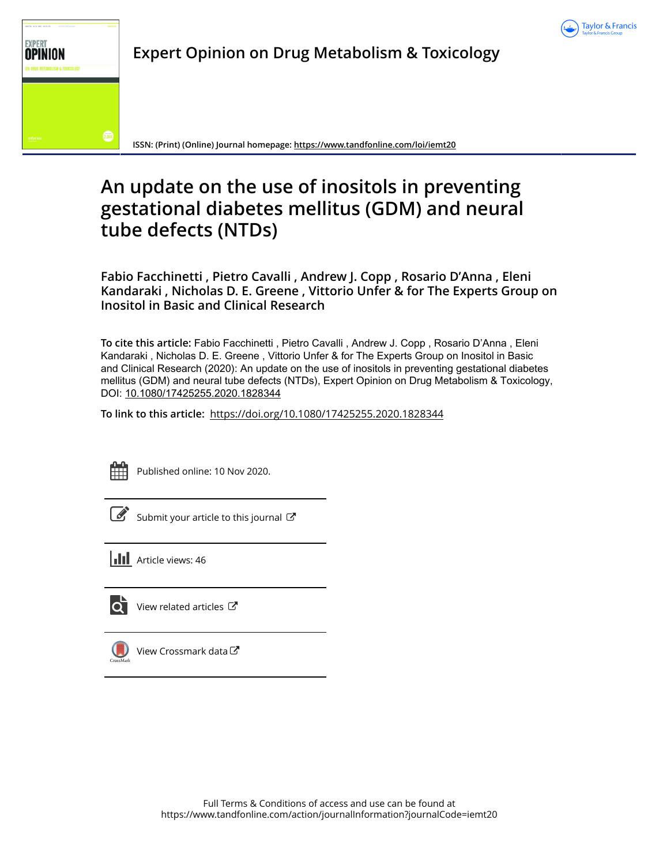



**Expert Opinion on Drug Metabolism & Toxicology**

**ISSN: (Print) (Online) Journal homepage:<https://www.tandfonline.com/loi/iemt20>**

# **An update on the use of inositols in preventing gestational diabetes mellitus (GDM) and neural tube defects (NTDs)**

**Fabio Facchinetti , Pietro Cavalli , Andrew J. Copp , Rosario D'Anna , Eleni Kandaraki , Nicholas D. E. Greene , Vittorio Unfer & for The Experts Group on Inositol in Basic and Clinical Research**

**To cite this article:** Fabio Facchinetti , Pietro Cavalli , Andrew J. Copp , Rosario D'Anna , Eleni Kandaraki , Nicholas D. E. Greene , Vittorio Unfer & for The Experts Group on Inositol in Basic and Clinical Research (2020): An update on the use of inositols in preventing gestational diabetes mellitus (GDM) and neural tube defects (NTDs), Expert Opinion on Drug Metabolism & Toxicology, DOI: [10.1080/17425255.2020.1828344](https://www.tandfonline.com/action/showCitFormats?doi=10.1080/17425255.2020.1828344)

**To link to this article:** <https://doi.org/10.1080/17425255.2020.1828344>

Published online: 10 Nov 2020.

[Submit your article to this journal](https://www.tandfonline.com/action/authorSubmission?journalCode=iemt20&show=instructions)  $\mathbb{Z}^n$ 

**Article views: 46** 

[View related articles](https://www.tandfonline.com/doi/mlt/10.1080/17425255.2020.1828344)  $\mathbb{Z}$ 



[View Crossmark data](http://crossmark.crossref.org/dialog/?doi=10.1080/17425255.2020.1828344&domain=pdf&date_stamp=2020-09-23)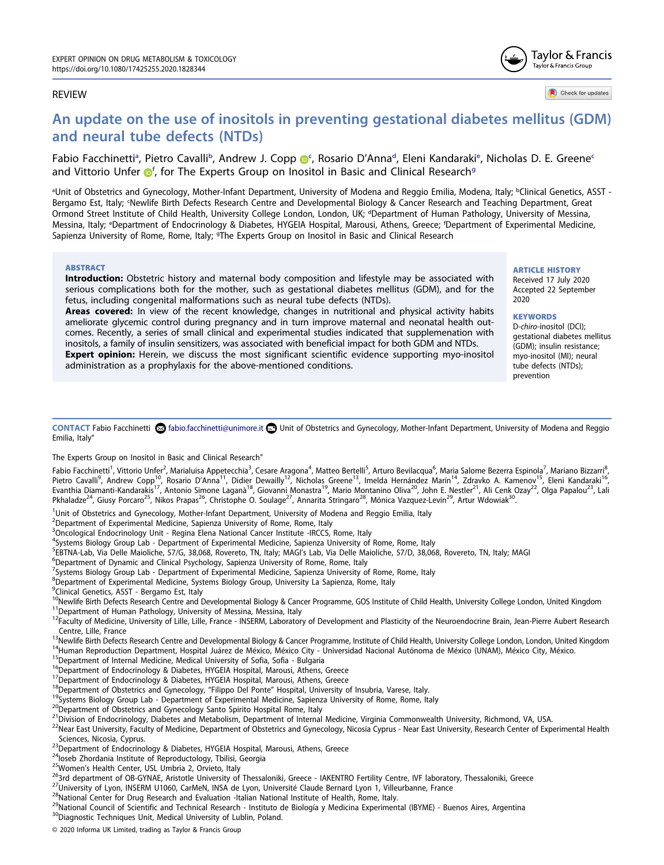#### REVIEW

Check for updates

Tavlor & Francis Taylor & Francis Group

# **An update on the use of inositols in preventing gestational diabetes mellitus (GDM) and neural tube defects (NTDs)**

Fabio Facchinetti<su[p](http://orcid.org/0000-0002-2544-9117)>a</sup>, Pietro Cavalli<sup>b</sup>, Andrew J. Copp <sub>®</sub><sup>[c](#page-1-1)</sup>, Rosario D'Anna<sup>d</sup>, El[e](#page-1-3)ni Kandaraki<sup>e</sup>, Nicholas D. E. Greene<sup>c</sup> and Vittorio Un[f](#page-1-3)er  $\mathbf{C}^f$ , for The Experts Group on Inositol in Basic and Clinical Research<sup>g</sup>

<span id="page-1-3"></span><span id="page-1-2"></span><span id="page-1-1"></span><span id="page-1-0"></span>aUnit of Obstetrics and Gynecology, Mother-Infant Department, University of Modena and Reggio Emilia, Modena, Italy; <sup>b</sup>Clinical Genetics, ASST -Bergamo Est, Italy; 'Newlife Birth Defects Research Centre and Developmental Biology & Cancer Research and Teaching Department, Great Ormond Street Institute of Child Health, University College London, London, UK; <sup>d</sup>Department of Human Pathology, University of Messina, Messina, Italy; e Department of Endocrinology & Diabetes, HYGEIA Hospital, Marousi, Athens, Greece; f Department of Experimental Medicine, Sapienza University of Rome, Rome, Italy; <sup>9</sup>The Experts Group on Inositol in Basic and Clinical Research

#### <span id="page-1-4"></span>**ABSTRACT**

**Introduction:** Obstetric history and maternal body composition and lifestyle may be associated with serious complications both for the mother, such as gestational diabetes mellitus (GDM), and for the fetus, including congenital malformations such as neural tube defects (NTDs).

**Areas covered:** In view of the recent knowledge, changes in nutritional and physical activity habits ameliorate glycemic control during pregnancy and in turn improve maternal and neonatal health outcomes. Recently, a series of small clinical and experimental studies indicated that supplemenation with inositols, a family of insulin sensitizers, was associated with beneficial impact for both GDM and NTDs. **Expert opinion:** Herein, we discuss the most significant scientific evidence supporting myo-inositol administration as a prophylaxis for the above-mentioned conditions.

**ARTICLE HISTORY** Received 17 July 2020

Accepted 22 September 2020

#### **KEYWORDS**

D-*chiro*-inositol (DCI); gestational diabetes mellitus (GDM); insulin resistance; myo-inositol (MI); neural tube defects (NTDs); prevention

CONTACT Fabio Facchinetti **۞** fabio.facchinetti@unimore.it **■** Unit of Obstetrics and Gynecology, Mother-Infant Department, University of Modena and Reggio Emilia, Italy"

The Experts Group on Inositol in Basic and Clinical Research"

Fabio Facchinetti<sup>1</sup>, Vittorio Unfer<sup>2</sup>, Marialuisa Appetecchia<sup>3</sup>, Cesare Aragona<sup>4</sup>, Matteo Bertelli<sup>5</sup>, Arturo Bevilacqua<sup>6</sup>, Maria Salome Bezerra Espinola<sup>7</sup>, Mariano Bizzarri<sup>8</sup>,<br>Pietro Cavalli<sup>9</sup>, Andrew Copp<sup>10</sup>, Ro Evanthia Diamanti-Kandarakis<sup>17</sup>, Antonio Simone Laganà<sup>18</sup>, Giovanni Monastra<sup>19</sup>, Mario Montanino Oliva<sup>20</sup>, John E. Nestler<sup>21</sup>, Ali Cenk Ozay<sup>22</sup>, Olga Papalou<sup>23</sup>, Lali Pkhaladze<sup>24</sup>, Giusy Porcaro<sup>25</sup>, Nikos Prapas<sup>26</sup>, Christophe O. Soulage<sup>27</sup>, Annarita Stringaro<sup>28</sup>, Mónica Vazquez-Levin<sup>29</sup>, Artur Wdowiak<sup>30</sup>.

<sup>1</sup>Unit of Obstetrics and Gynecology, Mother-Infant Department, University of Modena and Reggio Emilia, Italy 2<br><sup>2</sup>Department of Experimental Medicine, Sanjenza University of Rome, Rome, Italy

<sup>2</sup>Department of Experimental Medicine, Sapienza University of Rome, Rome, Italy

<sup>3</sup>Oncological Endocrinology Unit - Regina Elena National Cancer Institute -IRCCS, Rome, Italy<br><sup>4</sup>Systems Biology Group Lab - Department of Experimental Medicine, Sapienza University of Rome, Rome, Italy Systems Biology Group Lab - Department of Experimental Medicine, Sapienza University of Rome, Rome, Italy 5

<sup>></sup>EBTNA-Lab, Via Delle Maioliche, 57/G, 38,068, Rovereto, TN, Italy; MAGI's Lab, Via Delle Maioliche, 57/D, 38,068, Rovereto, TN, Italy; MAGI<br><sup>6</sup>Denartment of Dynamic and Clinical Psychology, Sanjenza University of Rome,

<sup>6</sup>Department of Dynamic and Clinical Psychology, Sapienza University of Rome, Rome, Italy

<sup>7</sup>Systems Biology Group Lab - Department of Experimental Medicine, Sapienza University of Rome, Rome, Italy

<sup>8</sup>Department of Experimental Medicine, Systems Biology Group, University La Sapienza, Rome, Italy<br><sup>9</sup>Clinical Genetics, ASST - Bergamo Est, Italy

<sup>10</sup>Newlife Birth Defects Research Centre and Developmental Biology & Cancer Programme, GOS Institute of Child Health, University College London, United Kingdom<br><sup>11</sup>Department of Human Pathology, University of Messina, Mes

- 
- 
- 
- 

- 
- 
- <sup>13</sup>Newlife Birth Defects Research Centre and Developmental Biology & Cancer Programme, Institute of Child Health, University College London, London, United Kingdom<br><sup>14</sup>Numan Reproduction Department, Hospital Juárez de Mé
- 
- 
- 
- 
- 
- 

<sup>23</sup>Department of Endocrinology & Diabetes, HYGEIA Hospital, Marousi, Athens, Greece<br><sup>24</sup>loseb Zhordania Institute of Reproductology, Tbilisi, Georgia<br><sup>25</sup>Women's Health Center, USL Umbria 2, Orvieto, Italy<br><sup>26</sup>3rd depart

© 2020 Informa UK Limited, trading as Taylor & Francis Group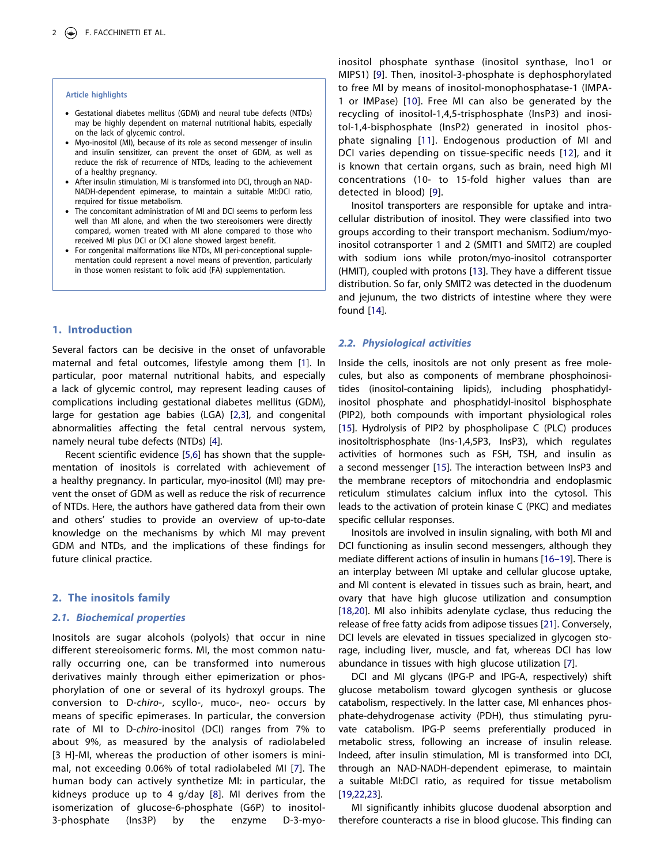#### **Article highlights**

- Gestational diabetes mellitus (GDM) and neural tube defects (NTDs) may be highly dependent on maternal nutritional habits, especially on the lack of glycemic control.
- Myo-inositol (MI), because of its role as second messenger of insulin and insulin sensitizer, can prevent the onset of GDM, as well as reduce the risk of recurrence of NTDs, leading to the achievement of a healthy pregnancy.
- After insulin stimulation, MI is transformed into DCI, through an NAD-NADH-dependent epimerase, to maintain a suitable MI:DCI ratio, required for tissue metabolism.
- The concomitant administration of MI and DCI seems to perform less well than MI alone, and when the two stereoisomers were directly compared, women treated with MI alone compared to those who received MI plus DCI or DCI alone showed largest benefit.
- For congenital malformations like NTDs, MI peri-conceptional supplementation could represent a novel means of prevention, particularly in those women resistant to folic acid (FA) supplementation.

## **1. Introduction**

<span id="page-2-0"></span>Several factors can be decisive in the onset of unfavorable maternal and fetal outcomes, lifestyle among them [\[1](#page-8-0)]. In particular, poor maternal nutritional habits, and especially a lack of glycemic control, may represent leading causes of complications including gestational diabetes mellitus (GDM), large for gestation age babies (LGA) [\[2,](#page-8-1)[3\]](#page-8-2), and congenital abnormalities affecting the fetal central nervous system, namely neural tube defects (NTDs) [[4\]](#page-8-3).

<span id="page-2-3"></span><span id="page-2-2"></span><span id="page-2-1"></span>Recent scientific evidence [[5,](#page-8-4)[6\]](#page-8-5) has shown that the supplementation of inositols is correlated with achievement of a healthy pregnancy. In particular, myo-inositol (MI) may prevent the onset of GDM as well as reduce the risk of recurrence of NTDs. Here, the authors have gathered data from their own and others' studies to provide an overview of up-to-date knowledge on the mechanisms by which MI may prevent GDM and NTDs, and the implications of these findings for future clinical practice.

#### **2. The inositols family**

# *2.1. Biochemical properties*

<span id="page-2-5"></span>Inositols are sugar alcohols (polyols) that occur in nine different stereoisomeric forms. MI, the most common naturally occurring one, can be transformed into numerous derivatives mainly through either epimerization or phosphorylation of one or several of its hydroxyl groups. The conversion to D-*chiro*-, scyllo-, muco-, neo- occurs by means of specific epimerases. In particular, the conversion rate of MI to D-*chiro*-inositol (DCI) ranges from 7% to about 9%, as measured by the analysis of radiolabeled [3 H]-MI, whereas the production of other isomers is minimal, not exceeding 0.06% of total radiolabeled MI [[7\]](#page-8-6). The human body can actively synthetize MI: in particular, the kidneys produce up to 4 g/day [\[8\]](#page-8-7). MI derives from the isomerization of glucose-6-phosphate (G6P) to inositol-3-phosphate (Ins3P) by the enzyme D-3-myo<span id="page-2-7"></span>inositol phosphate synthase (inositol synthase, Ino1 or MIPS1) [\[9](#page-8-8)]. Then, inositol-3-phosphate is dephosphorylated to free MI by means of inositol-monophosphatase-1 (IMPA-1 or IMPase) [[10](#page-8-9)]. Free MI can also be generated by the recycling of inositol-1,4,5-trisphosphate (InsP3) and inositol-1,4-bisphosphate (InsP2) generated in inositol phosphate signaling [\[11\]](#page-8-10). Endogenous production of MI and DCI varies depending on tissue-specific needs [[12\]](#page-8-11), and it is known that certain organs, such as brain, need high MI concentrations (10- to 15-fold higher values than are detected in blood) [[9](#page-8-8)].

<span id="page-2-10"></span><span id="page-2-9"></span><span id="page-2-8"></span><span id="page-2-6"></span>Inositol transporters are responsible for uptake and intracellular distribution of inositol. They were classified into two groups according to their transport mechanism. Sodium/myoinositol cotransporter 1 and 2 (SMIT1 and SMIT2) are coupled with sodium ions while proton/myo-inositol cotransporter (HMIT), coupled with protons [[13](#page-8-12)]. They have a different tissue distribution. So far, only SMIT2 was detected in the duodenum and jejunum, the two districts of intestine where they were found [\[14](#page-9-0)].

#### <span id="page-2-11"></span>*2.2. Physiological activities*

Inside the cells, inositols are not only present as free molecules, but also as components of membrane phosphoinositides (inositol-containing lipids), including phosphatidylinositol phosphate and phosphatidyl-inositol bisphosphate (PIP2), both compounds with important physiological roles [\[15](#page-9-1)]. Hydrolysis of PIP2 by phospholipase C (PLC) produces inositoltrisphosphate (Ins-1,4,5P3, InsP3), which regulates activities of hormones such as FSH, TSH, and insulin as a second messenger [\[15](#page-9-1)]. The interaction between InsP3 and the membrane receptors of mitochondria and endoplasmic reticulum stimulates calcium influx into the cytosol. This leads to the activation of protein kinase C (PKC) and mediates specific cellular responses.

<span id="page-2-14"></span><span id="page-2-13"></span><span id="page-2-12"></span>Inositols are involved in insulin signaling, with both MI and DCI functioning as insulin second messengers, although they mediate different actions of insulin in humans [\[16–19](#page-9-2)]. There is an interplay between MI uptake and cellular glucose uptake, and MI content is elevated in tissues such as brain, heart, and ovary that have high glucose utilization and consumption [\[18](#page-9-3)[,20\]](#page-9-4). MI also inhibits adenylate cyclase, thus reducing the release of free fatty acids from adipose tissues [[21\]](#page-9-5). Conversely, DCI levels are elevated in tissues specialized in glycogen storage, including liver, muscle, and fat, whereas DCI has low abundance in tissues with high glucose utilization [\[7](#page-8-6)].

<span id="page-2-16"></span><span id="page-2-4"></span>DCI and MI glycans (IPG-P and IPG-A, respectively) shift glucose metabolism toward glycogen synthesis or glucose catabolism, respectively. In the latter case, MI enhances phosphate-dehydrogenase activity (PDH), thus stimulating pyruvate catabolism. IPG-P seems preferentially produced in metabolic stress, following an increase of insulin release. Indeed, after insulin stimulation, MI is transformed into DCI, through an NAD-NADH-dependent epimerase, to maintain a suitable MI:DCI ratio, as required for tissue metabolism [\[19](#page-9-6)[,22,](#page-9-7)[23\]](#page-9-8).

<span id="page-2-15"></span>MI significantly inhibits glucose duodenal absorption and therefore counteracts a rise in blood glucose. This finding can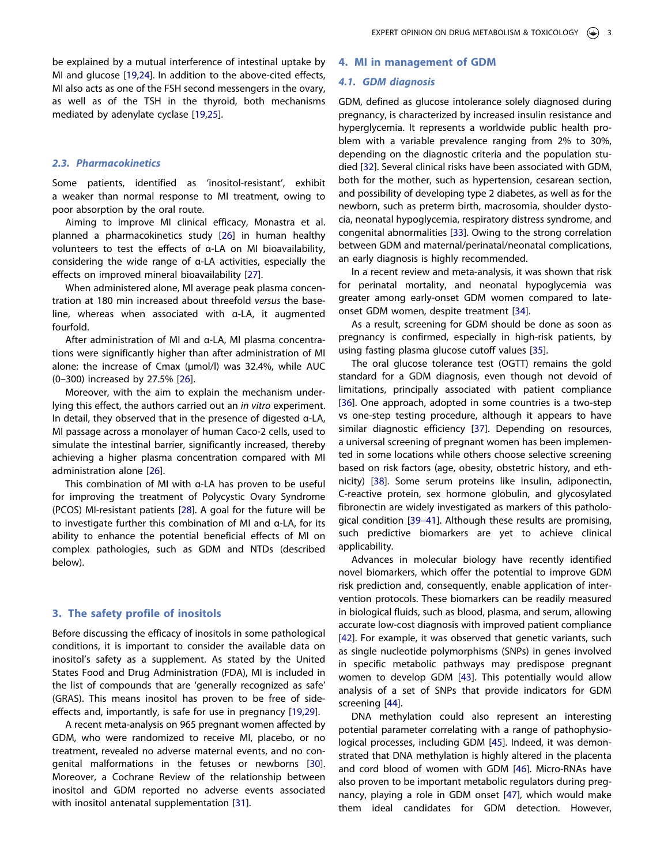<span id="page-3-1"></span><span id="page-3-0"></span>be explained by a mutual interference of intestinal uptake by MI and glucose [[19,](#page-9-6)[24](#page-9-9)]. In addition to the above-cited effects, MI also acts as one of the FSH second messengers in the ovary, as well as of the TSH in the thyroid, both mechanisms mediated by adenylate cyclase [[19,](#page-9-6)[25](#page-9-10)].

#### *2.3. Pharmacokinetics*

Some patients, identified as 'inositol-resistant', exhibit a weaker than normal response to MI treatment, owing to poor absorption by the oral route.

Aiming to improve MI clinical efficacy, Monastra et al. planned a pharmacokinetics study [[26](#page-9-11)] in human healthy volunteers to test the effects of α-LA on MI bioavailability, considering the wide range of α-LA activities, especially the effects on improved mineral bioavailability [\[27\]](#page-9-12).

<span id="page-3-3"></span>When administered alone, MI average peak plasma concentration at 180 min increased about threefold *versus* the baseline, whereas when associated with α-LA, it augmented fourfold.

After administration of MI and α-LA, MI plasma concentrations were significantly higher than after administration of MI alone: the increase of Cmax (μmol/l) was 32.4%, while AUC (0–300) increased by 27.5% [[26\]](#page-9-11).

Moreover, with the aim to explain the mechanism underlying this effect, the authors carried out an *in vitro* experiment. In detail, they observed that in the presence of digested α-LA, MI passage across a monolayer of human Caco-2 cells, used to simulate the intestinal barrier, significantly increased, thereby achieving a higher plasma concentration compared with MI administration alone [\[26\]](#page-9-11).

<span id="page-3-4"></span><span id="page-3-2"></span>This combination of MI with α-LA has proven to be useful for improving the treatment of Polycystic Ovary Syndrome (PCOS) MI-resistant patients [\[28](#page-9-13)]. A goal for the future will be to investigate further this combination of MI and α-LA, for its ability to enhance the potential beneficial effects of MI on complex pathologies, such as GDM and NTDs (described below).

## **3. The safety profile of inositols**

Before discussing the efficacy of inositols in some pathological conditions, it is important to consider the available data on inositol's safety as a supplement. As stated by the United States Food and Drug Administration (FDA), MI is included in the list of compounds that are 'generally recognized as safe' (GRAS). This means inositol has proven to be free of sideeffects and, importantly, is safe for use in pregnancy [[19](#page-9-6)[,29](#page-9-14)].

<span id="page-3-7"></span><span id="page-3-6"></span><span id="page-3-5"></span>A recent meta-analysis on 965 pregnant women affected by GDM, who were randomized to receive MI, placebo, or no treatment, revealed no adverse maternal events, and no congenital malformations in the fetuses or newborns [\[30](#page-9-15)]. Moreover, a Cochrane Review of the relationship between inositol and GDM reported no adverse events associated with inositol antenatal supplementation [\[31\]](#page-9-16).

## **4. MI in management of GDM**

#### *4.1. GDM diagnosis*

<span id="page-3-8"></span>GDM, defined as glucose intolerance solely diagnosed during pregnancy, is characterized by increased insulin resistance and hyperglycemia. It represents a worldwide public health problem with a variable prevalence ranging from 2% to 30%, depending on the diagnostic criteria and the population studied [[32](#page-9-17)]. Several clinical risks have been associated with GDM, both for the mother, such as hypertension, cesarean section, and possibility of developing type 2 diabetes, as well as for the newborn, such as preterm birth, macrosomia, shoulder dystocia, neonatal hypoglycemia, respiratory distress syndrome, and congenital abnormalities [[33\]](#page-9-18). Owing to the strong correlation between GDM and maternal/perinatal/neonatal complications, an early diagnosis is highly recommended.

<span id="page-3-9"></span>In a recent review and meta-analysis, it was shown that risk for perinatal mortality, and neonatal hypoglycemia was greater among early-onset GDM women compared to lateonset GDM women, despite treatment [[34](#page-9-19)].

<span id="page-3-10"></span>As a result, screening for GDM should be done as soon as pregnancy is confirmed, especially in high-risk patients, by using fasting plasma glucose cutoff values [[35\]](#page-9-20).

<span id="page-3-13"></span><span id="page-3-12"></span><span id="page-3-11"></span>The oral glucose tolerance test (OGTT) remains the gold standard for a GDM diagnosis, even though not devoid of limitations, principally associated with patient compliance [\[36](#page-9-21)]. One approach, adopted in some countries is a two-step vs one-step testing procedure, although it appears to have similar diagnostic efficiency [\[37](#page-9-22)]. Depending on resources, a universal screening of pregnant women has been implemented in some locations while others choose selective screening based on risk factors (age, obesity, obstetric history, and ethnicity) [\[38\]](#page-9-23). Some serum proteins like insulin, adiponectin, C-reactive protein, sex hormone globulin, and glycosylated fibronectin are widely investigated as markers of this pathological condition [[39–41\]](#page-9-24). Although these results are promising, such predictive biomarkers are yet to achieve clinical applicability.

<span id="page-3-16"></span><span id="page-3-15"></span><span id="page-3-14"></span>Advances in molecular biology have recently identified novel biomarkers, which offer the potential to improve GDM risk prediction and, consequently, enable application of intervention protocols. These biomarkers can be readily measured in biological fluids, such as blood, plasma, and serum, allowing accurate low-cost diagnosis with improved patient compliance [\[42](#page-9-25)]. For example, it was observed that genetic variants, such as single nucleotide polymorphisms (SNPs) in genes involved in specific metabolic pathways may predispose pregnant women to develop GDM [\[43\]](#page-9-26). This potentially would allow analysis of a set of SNPs that provide indicators for GDM screening [\[44](#page-9-27)].

<span id="page-3-21"></span><span id="page-3-20"></span><span id="page-3-19"></span><span id="page-3-18"></span><span id="page-3-17"></span>DNA methylation could also represent an interesting potential parameter correlating with a range of pathophysiological processes, including GDM [\[45](#page-9-28)]. Indeed, it was demonstrated that DNA methylation is highly altered in the placenta and cord blood of women with GDM [[46](#page-9-29)]. Micro-RNAs have also proven to be important metabolic regulators during pregnancy, playing a role in GDM onset [[47\]](#page-10-0), which would make them ideal candidates for GDM detection. However,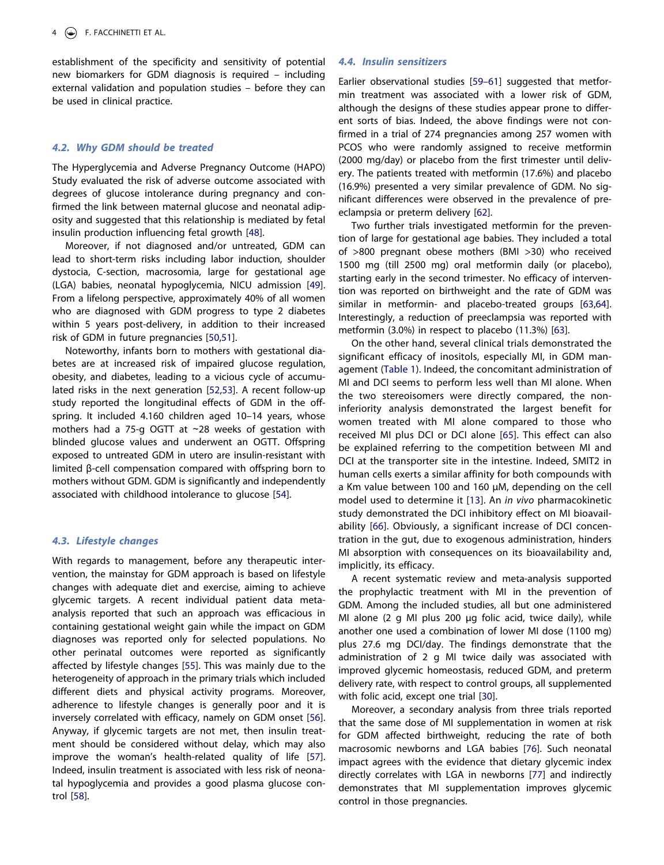establishment of the specificity and sensitivity of potential new biomarkers for GDM diagnosis is required – including external validation and population studies – before they can be used in clinical practice.

#### *4.2. Why GDM should be treated*

The Hyperglycemia and Adverse Pregnancy Outcome (HAPO) Study evaluated the risk of adverse outcome associated with degrees of glucose intolerance during pregnancy and confirmed the link between maternal glucose and neonatal adiposity and suggested that this relationship is mediated by fetal insulin production influencing fetal growth [\[48](#page-10-1)].

<span id="page-4-1"></span><span id="page-4-0"></span>Moreover, if not diagnosed and/or untreated, GDM can lead to short-term risks including labor induction, shoulder dystocia, C-section, macrosomia, large for gestational age (LGA) babies, neonatal hypoglycemia, NICU admission [\[49](#page-10-2)]. From a lifelong perspective, approximately 40% of all women who are diagnosed with GDM progress to type 2 diabetes within 5 years post-delivery, in addition to their increased risk of GDM in future pregnancies [[50](#page-10-3)[,51](#page-10-4)].

<span id="page-4-3"></span><span id="page-4-2"></span>Noteworthy, infants born to mothers with gestational diabetes are at increased risk of impaired glucose regulation, obesity, and diabetes, leading to a vicious cycle of accumulated risks in the next generation [\[52,](#page-10-5)[53\]](#page-10-6). A recent follow-up study reported the longitudinal effects of GDM in the offspring. It included 4.160 children aged 10–14 years, whose mothers had a 75-g OGTT at ∼28 weeks of gestation with blinded glucose values and underwent an OGTT. Offspring exposed to untreated GDM in utero are insulin-resistant with limited β-cell compensation compared with offspring born to mothers without GDM. GDM is significantly and independently associated with childhood intolerance to glucose [\[54\]](#page-10-7).

#### <span id="page-4-4"></span>*4.3. Lifestyle changes*

<span id="page-4-8"></span><span id="page-4-7"></span><span id="page-4-6"></span><span id="page-4-5"></span>With regards to management, before any therapeutic intervention, the mainstay for GDM approach is based on lifestyle changes with adequate diet and exercise, aiming to achieve glycemic targets. A recent individual patient data metaanalysis reported that such an approach was efficacious in containing gestational weight gain while the impact on GDM diagnoses was reported only for selected populations. No other perinatal outcomes were reported as significantly affected by lifestyle changes [[55](#page-10-8)]. This was mainly due to the heterogeneity of approach in the primary trials which included different diets and physical activity programs. Moreover, adherence to lifestyle changes is generally poor and it is inversely correlated with efficacy, namely on GDM onset [\[56](#page-10-9)]. Anyway, if glycemic targets are not met, then insulin treatment should be considered without delay, which may also improve the woman's health-related quality of life [\[57](#page-10-10)]. Indeed, insulin treatment is associated with less risk of neonatal hypoglycemia and provides a good plasma glucose control [[58](#page-10-11)].

#### *4.4. Insulin sensitizers*

<span id="page-4-9"></span>Earlier observational studies [[59–61](#page-10-12)] suggested that metformin treatment was associated with a lower risk of GDM, although the designs of these studies appear prone to different sorts of bias. Indeed, the above findings were not confirmed in a trial of 274 pregnancies among 257 women with PCOS who were randomly assigned to receive metformin (2000 mg/day) or placebo from the first trimester until delivery. The patients treated with metformin (17.6%) and placebo (16.9%) presented a very similar prevalence of GDM. No significant differences were observed in the prevalence of preeclampsia or preterm delivery [[62](#page-10-13)].

<span id="page-4-10"></span>Two further trials investigated metformin for the prevention of large for gestational age babies. They included a total of >800 pregnant obese mothers (BMI >30) who received 1500 mg (till 2500 mg) oral metformin daily (or placebo), starting early in the second trimester. No efficacy of intervention was reported on birthweight and the rate of GDM was similar in metformin- and placebo-treated groups [\[63](#page-10-14),[64\]](#page-10-15). Interestingly, a reduction of preeclampsia was reported with metformin (3.0%) in respect to placebo (11.3%) [[63\]](#page-10-14).

<span id="page-4-13"></span><span id="page-4-12"></span><span id="page-4-11"></span>On the other hand, several clinical trials demonstrated the significant efficacy of inositols, especially MI, in GDM management [\(Table 1\)](#page-5-0). Indeed, the concomitant administration of MI and DCI seems to perform less well than MI alone. When the two stereoisomers were directly compared, the noninferiority analysis demonstrated the largest benefit for women treated with MI alone compared to those who received MI plus DCI or DCI alone [[65\]](#page-10-16). This effect can also be explained referring to the competition between MI and DCI at the transporter site in the intestine. Indeed, SMIT2 in human cells exerts a similar affinity for both compounds with a Km value between 100 and 160 µM, depending on the cell model used to determine it [\[13](#page-8-12)]. An *in vivo* pharmacokinetic study demonstrated the DCI inhibitory effect on MI bioavailability [\[66](#page-10-17)]. Obviously, a significant increase of DCI concentration in the gut, due to exogenous administration, hinders MI absorption with consequences on its bioavailability and, implicitly, its efficacy.

<span id="page-4-14"></span>A recent systematic review and meta-analysis supported the prophylactic treatment with MI in the prevention of GDM. Among the included studies, all but one administered MI alone (2 g MI plus 200 μg folic acid, twice daily), while another one used a combination of lower MI dose (1100 mg) plus 27.6 mg DCI/day. The findings demonstrate that the administration of 2 g MI twice daily was associated with improved glycemic homeostasis, reduced GDM, and preterm delivery rate, with respect to control groups, all supplemented with folic acid, except one trial [\[30\]](#page-9-15).

<span id="page-4-16"></span><span id="page-4-15"></span>Moreover, a secondary analysis from three trials reported that the same dose of MI supplementation in women at risk for GDM affected birthweight, reducing the rate of both macrosomic newborns and LGA babies [\[76\]](#page-11-0). Such neonatal impact agrees with the evidence that dietary glycemic index directly correlates with LGA in newborns [\[77](#page-11-1)] and indirectly demonstrates that MI supplementation improves glycemic control in those pregnancies.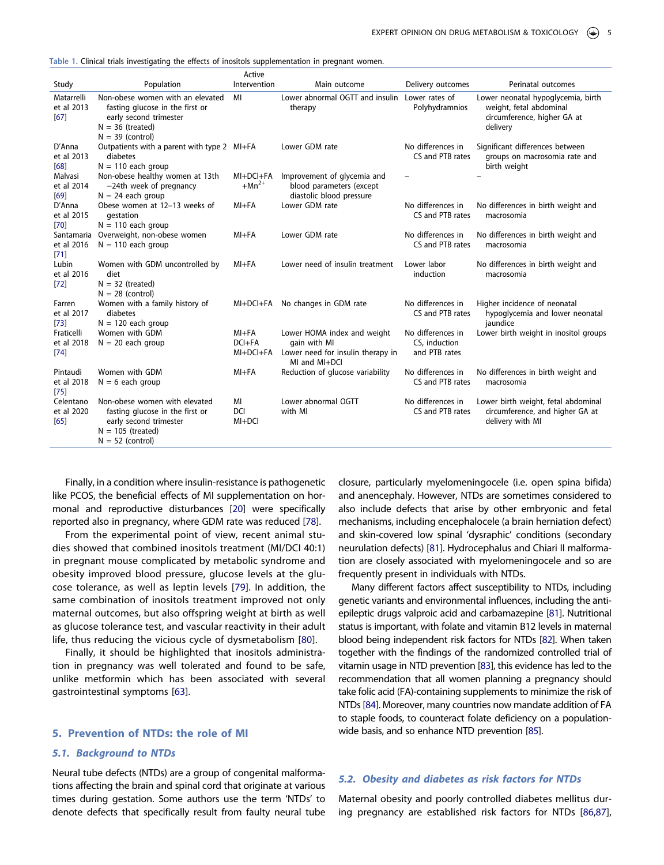<span id="page-5-0"></span>**Table 1.** Clinical trials investigating the effects of inositols supplementation in pregnant women.

<span id="page-5-5"></span><span id="page-5-4"></span><span id="page-5-3"></span><span id="page-5-2"></span><span id="page-5-1"></span>

| Active                             |                                                                                                                                           |                                  |                                                                                                   |                                                     |                                                                                                          |  |  |  |
|------------------------------------|-------------------------------------------------------------------------------------------------------------------------------------------|----------------------------------|---------------------------------------------------------------------------------------------------|-----------------------------------------------------|----------------------------------------------------------------------------------------------------------|--|--|--|
| Study                              | Population                                                                                                                                | Intervention                     | Main outcome                                                                                      | Delivery outcomes                                   | Perinatal outcomes                                                                                       |  |  |  |
| Matarrelli<br>et al 2013<br>[67]   | Non-obese women with an elevated<br>fasting glucose in the first or<br>early second trimester<br>$N = 36$ (treated)<br>$N = 39$ (control) | MI                               | Lower abnormal OGTT and insulin<br>therapy                                                        | Lower rates of<br>Polyhydramnios                    | Lower neonatal hypoglycemia, birth<br>weight, fetal abdominal<br>circumference, higher GA at<br>delivery |  |  |  |
| D'Anna<br>et al 2013<br>[68]       | Outpatients with a parent with type 2 MI+FA<br>diabetes<br>$N = 110$ each group                                                           |                                  | Lower GDM rate                                                                                    | No differences in<br>CS and PTB rates               | Significant differences between<br>groups on macrosomia rate and<br>birth weight                         |  |  |  |
| Malvasi<br>et al 2014<br>[69]      | Non-obese healthy women at 13th<br>$-24$ th week of pregnancy<br>$N = 24$ each group                                                      | MI+DCI+FA<br>$+Mn^{2+}$          | Improvement of glycemia and<br>blood parameters (except<br>diastolic blood pressure               |                                                     |                                                                                                          |  |  |  |
| D'Anna<br>et al 2015<br>[70]       | Obese women at 12-13 weeks of<br>gestation<br>$N = 110$ each group                                                                        | $MH + FA$                        | Lower GDM rate                                                                                    | No differences in<br>CS and PTB rates               | No differences in birth weight and<br>macrosomia                                                         |  |  |  |
| Santamaria<br>et al 2016<br>$[71]$ | Overweight, non-obese women<br>$N = 110$ each group                                                                                       | $MH + FA$                        | Lower GDM rate                                                                                    | No differences in<br>CS and PTB rates               | No differences in birth weight and<br>macrosomia                                                         |  |  |  |
| Lubin<br>et al 2016<br>$[72]$      | Women with GDM uncontrolled by<br>diet<br>$N = 32$ (treated)<br>$N = 28$ (control)                                                        | $MH + FA$                        | Lower need of insulin treatment                                                                   | Lower labor<br>induction                            | No differences in birth weight and<br>macrosomia                                                         |  |  |  |
| Farren<br>et al 2017<br>$[73]$     | Women with a family history of<br>diabetes<br>$N = 120$ each group                                                                        | MI+DCI+FA                        | No changes in GDM rate                                                                            | No differences in<br>CS and PTB rates               | Higher incidence of neonatal<br>hypoglycemia and lower neonatal<br>jaundice                              |  |  |  |
| Fraticelli<br>et al 2018<br>$[74]$ | Women with GDM<br>$N = 20$ each group                                                                                                     | $MH + FA$<br>DCI+FA<br>MI+DCI+FA | Lower HOMA index and weight<br>gain with MI<br>Lower need for insulin therapy in<br>MI and MI+DCI | No differences in<br>CS, induction<br>and PTB rates | Lower birth weight in inositol groups                                                                    |  |  |  |
| Pintaudi<br>et al 2018<br>$[75]$   | Women with GDM<br>$N = 6$ each group                                                                                                      | $MH + FA$                        | Reduction of glucose variability                                                                  | No differences in<br>CS and PTB rates               | No differences in birth weight and<br>macrosomia                                                         |  |  |  |
| Celentano<br>et al 2020<br>[65]    | Non-obese women with elevated<br>fasting glucose in the first or<br>early second trimester<br>$N = 105$ (treated)<br>$N = 52$ (control)   | MI<br>DCI<br>$MI+DCI$            | Lower abnormal OGTT<br>with MI                                                                    | No differences in<br>CS and PTB rates               | Lower birth weight, fetal abdominal<br>circumference, and higher GA at<br>delivery with MI               |  |  |  |

<span id="page-5-9"></span><span id="page-5-8"></span><span id="page-5-7"></span><span id="page-5-6"></span>Finally, in a condition where insulin-resistance is pathogenetic like PCOS, the beneficial effects of MI supplementation on hormonal and reproductive disturbances [\[20](#page-9-4)] were specifically reported also in pregnancy, where GDM rate was reduced [[78](#page-11-2)].

<span id="page-5-11"></span><span id="page-5-10"></span>From the experimental point of view, recent animal studies showed that combined inositols treatment (MI/DCI 40:1) in pregnant mouse complicated by metabolic syndrome and obesity improved blood pressure, glucose levels at the glucose tolerance, as well as leptin levels [[79](#page-11-3)]. In addition, the same combination of inositols treatment improved not only maternal outcomes, but also offspring weight at birth as well as glucose tolerance test, and vascular reactivity in their adult life, thus reducing the vicious cycle of dysmetabolism [[80\]](#page-11-4).

<span id="page-5-12"></span>Finally, it should be highlighted that inositols administration in pregnancy was well tolerated and found to be safe, unlike metformin which has been associated with several gastrointestinal symptoms [\[63](#page-10-14)].

#### **5. Prevention of NTDs: the role of MI**

#### *5.1. Background to NTDs*

Neural tube defects (NTDs) are a group of congenital malformations affecting the brain and spinal cord that originate at various times during gestation. Some authors use the term 'NTDs' to denote defects that specifically result from faulty neural tube

closure, particularly myelomeningocele (i.e. open spina bifida) and anencephaly. However, NTDs are sometimes considered to also include defects that arise by other embryonic and fetal mechanisms, including encephalocele (a brain herniation defect) and skin-covered low spinal 'dysraphic' conditions (secondary neurulation defects) [\[81\]](#page-11-5). Hydrocephalus and Chiari II malformation are closely associated with myelomeningocele and so are frequently present in individuals with NTDs.

<span id="page-5-15"></span><span id="page-5-14"></span><span id="page-5-13"></span>Many different factors affect susceptibility to NTDs, including genetic variants and environmental influences, including the antiepileptic drugs valproic acid and carbamazepine [\[81\]](#page-11-5). Nutritional status is important, with folate and vitamin B12 levels in maternal blood being independent risk factors for NTDs [[82](#page-11-6)]. When taken together with the findings of the randomized controlled trial of vitamin usage in NTD prevention [\[83](#page-11-7)], this evidence has led to the recommendation that all women planning a pregnancy should take folic acid (FA)-containing supplements to minimize the risk of NTDs [[84\]](#page-11-8). Moreover, many countries now mandate addition of FA to staple foods, to counteract folate deficiency on a populationwide basis, and so enhance NTD prevention [\[85](#page-11-9)].

# <span id="page-5-17"></span><span id="page-5-16"></span>*5.2. Obesity and diabetes as risk factors for NTDs*

<span id="page-5-18"></span>Maternal obesity and poorly controlled diabetes mellitus during pregnancy are established risk factors for NTDs [\[86](#page-11-10),[87\]](#page-11-11),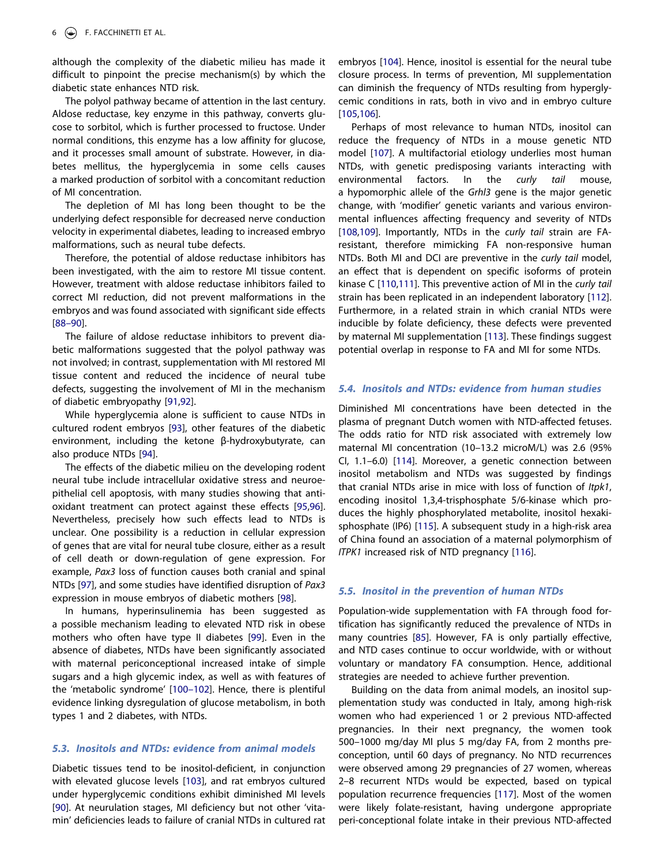although the complexity of the diabetic milieu has made it difficult to pinpoint the precise mechanism(s) by which the diabetic state enhances NTD risk.

The polyol pathway became of attention in the last century. Aldose reductase, key enzyme in this pathway, converts glucose to sorbitol, which is further processed to fructose. Under normal conditions, this enzyme has a low affinity for glucose, and it processes small amount of substrate. However, in diabetes mellitus, the hyperglycemia in some cells causes a marked production of sorbitol with a concomitant reduction of MI concentration.

The depletion of MI has long been thought to be the underlying defect responsible for decreased nerve conduction velocity in experimental diabetes, leading to increased embryo malformations, such as neural tube defects.

Therefore, the potential of aldose reductase inhibitors has been investigated, with the aim to restore MI tissue content. However, treatment with aldose reductase inhibitors failed to correct MI reduction, did not prevent malformations in the embryos and was found associated with significant side effects [[88–90\]](#page-11-12).

<span id="page-6-0"></span>The failure of aldose reductase inhibitors to prevent diabetic malformations suggested that the polyol pathway was not involved; in contrast, supplementation with MI restored MI tissue content and reduced the incidence of neural tube defects, suggesting the involvement of MI in the mechanism of diabetic embryopathy [[91,](#page-11-13)[92](#page-11-14)].

<span id="page-6-3"></span><span id="page-6-2"></span>While hyperglycemia alone is sufficient to cause NTDs in cultured rodent embryos [[93](#page-11-15)], other features of the diabetic environment, including the ketone β-hydroxybutyrate, can also produce NTDs [\[94](#page-11-16)].

<span id="page-6-5"></span><span id="page-6-4"></span>The effects of the diabetic milieu on the developing rodent neural tube include intracellular oxidative stress and neuroepithelial cell apoptosis, with many studies showing that antioxidant treatment can protect against these effects [[95](#page-11-17)[,96](#page-11-18)]. Nevertheless, precisely how such effects lead to NTDs is unclear. One possibility is a reduction in cellular expression of genes that are vital for neural tube closure, either as a result of cell death or down-regulation of gene expression. For example, *Pax3* loss of function causes both cranial and spinal NTDs [\[97\]](#page-11-19), and some studies have identified disruption of *Pax3*  expression in mouse embryos of diabetic mothers [\[98](#page-11-20)].

<span id="page-6-8"></span><span id="page-6-7"></span><span id="page-6-6"></span>In humans, hyperinsulinemia has been suggested as a possible mechanism leading to elevated NTD risk in obese mothers who often have type II diabetes [\[99](#page-11-21)]. Even in the absence of diabetes, NTDs have been significantly associated with maternal periconceptional increased intake of simple sugars and a high glycemic index, as well as with features of the 'metabolic syndrome' [\[100–102](#page-11-22)]. Hence, there is plentiful evidence linking dysregulation of glucose metabolism, in both types 1 and 2 diabetes, with NTDs.

#### <span id="page-6-9"></span>*5.3. Inositols and NTDs: evidence from animal models*

<span id="page-6-10"></span><span id="page-6-1"></span>Diabetic tissues tend to be inositol-deficient, in conjunction with elevated glucose levels [[103](#page-11-23)], and rat embryos cultured under hyperglycemic conditions exhibit diminished MI levels [[90](#page-11-24)]. At neurulation stages, MI deficiency but not other 'vitamin' deficiencies leads to failure of cranial NTDs in cultured rat <span id="page-6-11"></span>embryos [\[104\]](#page-11-25). Hence, inositol is essential for the neural tube closure process. In terms of prevention, MI supplementation can diminish the frequency of NTDs resulting from hyperglycemic conditions in rats, both in vivo and in embryo culture [\[105](#page-11-26)[,106\]](#page-11-27).

<span id="page-6-14"></span><span id="page-6-13"></span><span id="page-6-12"></span>Perhaps of most relevance to human NTDs, inositol can reduce the frequency of NTDs in a mouse genetic NTD model [[107](#page-11-28)]. A multifactorial etiology underlies most human NTDs, with genetic predisposing variants interacting with environmental factors. In the *curly tail* mouse, a hypomorphic allele of the *Grhl3* gene is the major genetic change, with 'modifier' genetic variants and various environmental influences affecting frequency and severity of NTDs [\[108](#page-11-29)[,109\]](#page-11-30). Importantly, NTDs in the *curly tail* strain are FAresistant, therefore mimicking FA non-responsive human NTDs. Both MI and DCI are preventive in the *curly tail* model, an effect that is dependent on specific isoforms of protein kinase C [\[110,](#page-11-31)[111\]](#page-12-0). This preventive action of MI in the *curly tail*  strain has been replicated in an independent laboratory [\[112\]](#page-12-1). Furthermore, in a related strain in which cranial NTDs were inducible by folate deficiency, these defects were prevented by maternal MI supplementation [[113](#page-12-2)]. These findings suggest potential overlap in response to FA and MI for some NTDs.

#### <span id="page-6-17"></span><span id="page-6-16"></span><span id="page-6-15"></span>*5.4. Inositols and NTDs: evidence from human studies*

<span id="page-6-18"></span>Diminished MI concentrations have been detected in the plasma of pregnant Dutch women with NTD-affected fetuses. The odds ratio for NTD risk associated with extremely low maternal MI concentration (10–13.2 microM/L) was 2.6 (95% CI, 1.1–6.0) [[114](#page-12-3)]. Moreover, a genetic connection between inositol metabolism and NTDs was suggested by findings that cranial NTDs arise in mice with loss of function of *Itpk1*, encoding inositol 1,3,4-trisphosphate 5/6-kinase which produces the highly phosphorylated metabolite, inositol hexakisphosphate (IP6) [\[115](#page-12-4)]. A subsequent study in a high-risk area of China found an association of a maternal polymorphism of *ITPK1* increased risk of NTD pregnancy [[116](#page-12-5)].

#### <span id="page-6-20"></span><span id="page-6-19"></span>*5.5. Inositol in the prevention of human NTDs*

Population-wide supplementation with FA through food fortification has significantly reduced the prevalence of NTDs in many countries [\[85](#page-11-9)]. However, FA is only partially effective, and NTD cases continue to occur worldwide, with or without voluntary or mandatory FA consumption. Hence, additional strategies are needed to achieve further prevention.

<span id="page-6-21"></span>Building on the data from animal models, an inositol supplementation study was conducted in Italy, among high-risk women who had experienced 1 or 2 previous NTD-affected pregnancies. In their next pregnancy, the women took 500–1000 mg/day MI plus 5 mg/day FA, from 2 months preconception, until 60 days of pregnancy. No NTD recurrences were observed among 29 pregnancies of 27 women, whereas 2–8 recurrent NTDs would be expected, based on typical population recurrence frequencies [[117\]](#page-12-6). Most of the women were likely folate-resistant, having undergone appropriate peri-conceptional folate intake in their previous NTD-affected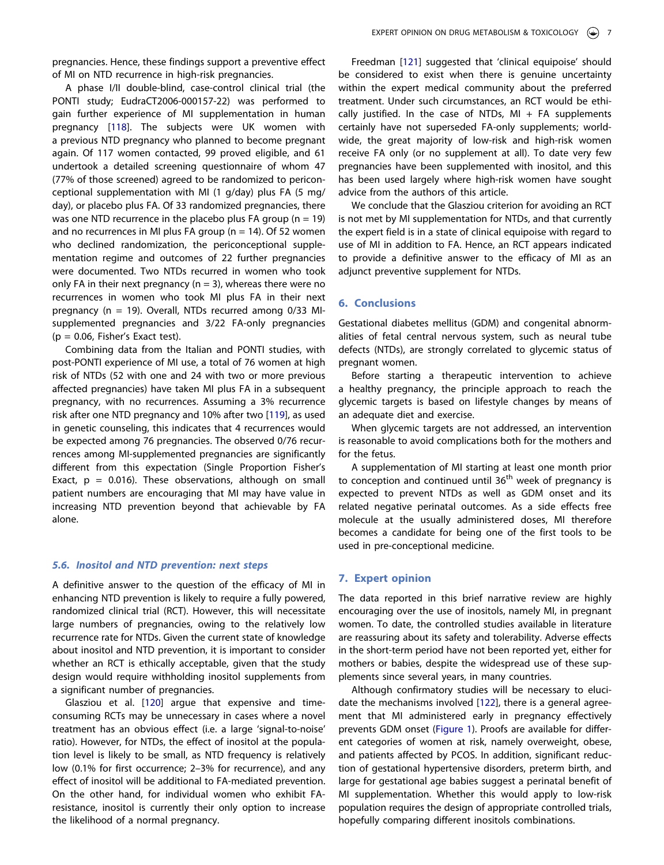pregnancies. Hence, these findings support a preventive effect of MI on NTD recurrence in high-risk pregnancies.

<span id="page-7-0"></span>A phase I/II double-blind, case-control clinical trial (the PONTI study; EudraCT2006-000157-22) was performed to gain further experience of MI supplementation in human pregnancy [[118](#page-12-7)]. The subjects were UK women with a previous NTD pregnancy who planned to become pregnant again. Of 117 women contacted, 99 proved eligible, and 61 undertook a detailed screening questionnaire of whom 47 (77% of those screened) agreed to be randomized to periconceptional supplementation with MI (1 g/day) plus FA (5 mg/ day), or placebo plus FA. Of 33 randomized pregnancies, there was one NTD recurrence in the placebo plus FA group ( $n = 19$ ) and no recurrences in MI plus FA group ( $n = 14$ ). Of 52 women who declined randomization, the periconceptional supplementation regime and outcomes of 22 further pregnancies were documented. Two NTDs recurred in women who took only FA in their next pregnancy ( $n = 3$ ), whereas there were no recurrences in women who took MI plus FA in their next pregnancy ( $n = 19$ ). Overall, NTDs recurred among 0/33 MIsupplemented pregnancies and 3/22 FA-only pregnancies  $(p = 0.06,$  Fisher's Exact test).

<span id="page-7-1"></span>Combining data from the Italian and PONTI studies, with post-PONTI experience of MI use, a total of 76 women at high risk of NTDs (52 with one and 24 with two or more previous affected pregnancies) have taken MI plus FA in a subsequent pregnancy, with no recurrences. Assuming a 3% recurrence risk after one NTD pregnancy and 10% after two [[119](#page-12-8)], as used in genetic counseling, this indicates that 4 recurrences would be expected among 76 pregnancies. The observed 0/76 recurrences among MI-supplemented pregnancies are significantly different from this expectation (Single Proportion Fisher's Exact,  $p = 0.016$ ). These observations, although on small patient numbers are encouraging that MI may have value in increasing NTD prevention beyond that achievable by FA alone.

#### *5.6. Inositol and NTD prevention: next steps*

A definitive answer to the question of the efficacy of MI in enhancing NTD prevention is likely to require a fully powered, randomized clinical trial (RCT). However, this will necessitate large numbers of pregnancies, owing to the relatively low recurrence rate for NTDs. Given the current state of knowledge about inositol and NTD prevention, it is important to consider whether an RCT is ethically acceptable, given that the study design would require withholding inositol supplements from a significant number of pregnancies.

<span id="page-7-2"></span>Glasziou et al. [[120](#page-12-9)] argue that expensive and timeconsuming RCTs may be unnecessary in cases where a novel treatment has an obvious effect (i.e. a large 'signal-to-noise' ratio). However, for NTDs, the effect of inositol at the population level is likely to be small, as NTD frequency is relatively low (0.1% for first occurrence; 2–3% for recurrence), and any effect of inositol will be additional to FA-mediated prevention. On the other hand, for individual women who exhibit FAresistance, inositol is currently their only option to increase the likelihood of a normal pregnancy.

<span id="page-7-3"></span>Freedman [[121](#page-12-10)] suggested that 'clinical equipoise' should be considered to exist when there is genuine uncertainty within the expert medical community about the preferred treatment. Under such circumstances, an RCT would be ethically justified. In the case of NTDs,  $MI + FA$  supplements certainly have not superseded FA-only supplements; worldwide, the great majority of low-risk and high-risk women receive FA only (or no supplement at all). To date very few pregnancies have been supplemented with inositol, and this has been used largely where high-risk women have sought advice from the authors of this article.

We conclude that the Glasziou criterion for avoiding an RCT is not met by MI supplementation for NTDs, and that currently the expert field is in a state of clinical equipoise with regard to use of MI in addition to FA. Hence, an RCT appears indicated to provide a definitive answer to the efficacy of MI as an adjunct preventive supplement for NTDs.

### **6. Conclusions**

Gestational diabetes mellitus (GDM) and congenital abnormalities of fetal central nervous system, such as neural tube defects (NTDs), are strongly correlated to glycemic status of pregnant women.

Before starting a therapeutic intervention to achieve a healthy pregnancy, the principle approach to reach the glycemic targets is based on lifestyle changes by means of an adequate diet and exercise.

When glycemic targets are not addressed, an intervention is reasonable to avoid complications both for the mothers and for the fetus.

A supplementation of MI starting at least one month prior to conception and continued until  $36<sup>th</sup>$  week of pregnancy is expected to prevent NTDs as well as GDM onset and its related negative perinatal outcomes. As a side effects free molecule at the usually administered doses, MI therefore becomes a candidate for being one of the first tools to be used in pre-conceptional medicine.

#### **7. Expert opinion**

The data reported in this brief narrative review are highly encouraging over the use of inositols, namely MI, in pregnant women. To date, the controlled studies available in literature are reassuring about its safety and tolerability. Adverse effects in the short-term period have not been reported yet, either for mothers or babies, despite the widespread use of these supplements since several years, in many countries.

<span id="page-7-4"></span>Although confirmatory studies will be necessary to elucidate the mechanisms involved [\[122\]](#page-12-11), there is a general agreement that MI administered early in pregnancy effectively prevents GDM onset ([Figure 1](#page-8-13)). Proofs are available for different categories of women at risk, namely overweight, obese, and patients affected by PCOS. In addition, significant reduction of gestational hypertensive disorders, preterm birth, and large for gestational age babies suggest a perinatal benefit of MI supplementation. Whether this would apply to low-risk population requires the design of appropriate controlled trials, hopefully comparing different inositols combinations.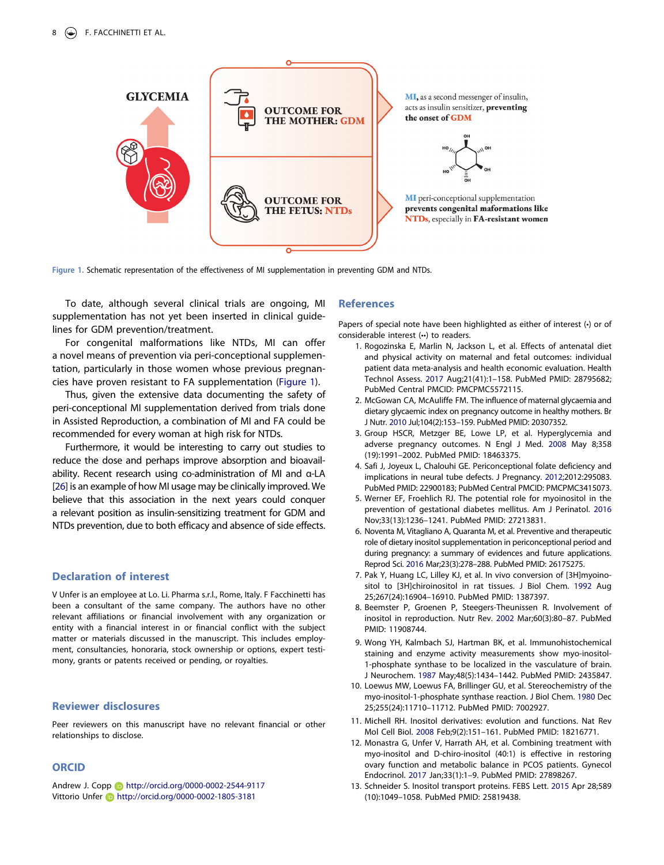

<span id="page-8-13"></span>**Figure 1.** Schematic representation of the effectiveness of MI supplementation in preventing GDM and NTDs.

To date, although several clinical trials are ongoing, MI supplementation has not yet been inserted in clinical guidelines for GDM prevention/treatment.

For congenital malformations like NTDs, MI can offer a novel means of prevention via peri-conceptional supplementation, particularly in those women whose previous pregnancies have proven resistant to FA supplementation [\(Figure 1](#page-8-13)).

Thus, given the extensive data documenting the safety of peri-conceptional MI supplementation derived from trials done in Assisted Reproduction, a combination of MI and FA could be recommended for every woman at high risk for NTDs.

Furthermore, it would be interesting to carry out studies to reduce the dose and perhaps improve absorption and bioavailability. Recent research using co-administration of MI and α-LA [[26\]](#page-9-11) is an example of how MI usage may be clinically improved. We believe that this association in the next years could conquer a relevant position as insulin-sensitizing treatment for GDM and NTDs prevention, due to both efficacy and absence of side effects.

## **Declaration of interest**

V Unfer is an employee at Lo. Li. Pharma s.r.l., Rome, Italy. F Facchinetti has been a consultant of the same company. The authors have no other relevant affiliations or financial involvement with any organization or entity with a financial interest in or financial conflict with the subject matter or materials discussed in the manuscript. This includes employment, consultancies, honoraria, stock ownership or options, expert testimony, grants or patents received or pending, or royalties.

#### **Reviewer disclosures**

Peer reviewers on this manuscript have no relevant financial or other relationships to disclose.

# **ORCID**

Andrew J. Copp http://orcid.org/0000-0002-2544-9117 Vittorio Unfer http://orcid.org/0000-0002-1805-3181

#### **References**

Papers of special note have been highlighted as either of interest (•) or of considerable interest (••) to readers.

- <span id="page-8-0"></span>1. Rogozinska E, Marlin N, Jackson L, et al. Effects of antenatal diet and physical activity on maternal and fetal outcomes: individual patient data meta-analysis and health economic evaluation. Health Technol Assess. [2017](#page-2-0) Aug;21(41):1–158. PubMed PMID: 28795682; PubMed Central PMCID: PMCPMC5572115.
- <span id="page-8-1"></span>2. McGowan CA, McAuliffe FM. The influence of maternal glycaemia and dietary glycaemic index on pregnancy outcome in healthy mothers. Br J Nutr. [2010](#page-2-1) Jul;104(2):153–159. PubMed PMID: 20307352.
- <span id="page-8-2"></span>3. Group HSCR, Metzger BE, Lowe LP, et al. Hyperglycemia and adverse pregnancy outcomes. N Engl J Med. [2008](#page-2-1) May 8;358 (19):1991–2002. PubMed PMID: 18463375.
- <span id="page-8-3"></span>4. Safi J, Joyeux L, Chalouhi GE. Periconceptional folate deficiency and implications in neural tube defects. J Pregnancy. [2012](#page-2-2);2012:295083. PubMed PMID: 22900183; PubMed Central PMCID: PMCPMC3415073.
- <span id="page-8-4"></span>5. Werner EF, Froehlich RJ. The potential role for myoinositol in the prevention of gestational diabetes mellitus. Am J Perinatol. [2016](#page-2-3) Nov;33(13):1236–1241. PubMed PMID: 27213831.
- <span id="page-8-5"></span>6. Noventa M, Vitagliano A, Quaranta M, et al. Preventive and therapeutic role of dietary inositol supplementation in periconceptional period and during pregnancy: a summary of evidences and future applications. Reprod Sci. [2016](#page-2-3) Mar;23(3):278–288. PubMed PMID: 26175275.
- <span id="page-8-6"></span>7. Pak Y, Huang LC, Lilley KJ, et al. In vivo conversion of [3H]myoinositol to [3H]chiroinositol in rat tissues. J Biol Chem. [1992](#page-2-4) Aug 25;267(24):16904–16910. PubMed PMID: 1387397.
- <span id="page-8-7"></span>8. Beemster P, Groenen P, Steegers-Theunissen R. Involvement of inositol in reproduction. Nutr Rev. [2002](#page-2-5) Mar;60(3):80–87. PubMed PMID: 11908744.
- <span id="page-8-8"></span>9. Wong YH, Kalmbach SJ, Hartman BK, et al. Immunohistochemical staining and enzyme activity measurements show myo-inositol-1-phosphate synthase to be localized in the vasculature of brain. J Neurochem. [1987](#page-2-6) May;48(5):1434–1442. PubMed PMID: 2435847.
- <span id="page-8-9"></span>10. Loewus MW, Loewus FA, Brillinger GU, et al. Stereochemistry of the myo-inositol-1-phosphate synthase reaction. J Biol Chem. [1980](#page-2-7) Dec 25;255(24):11710–11712. PubMed PMID: 7002927.
- <span id="page-8-10"></span>11. Michell RH. Inositol derivatives: evolution and functions. Nat Rev Mol Cell Biol. [2008](#page-2-8) Feb;9(2):151–161. PubMed PMID: 18216771.
- <span id="page-8-11"></span>12. Monastra G, Unfer V, Harrath AH, et al. Combining treatment with myo-inositol and D-chiro-inositol (40:1) is effective in restoring ovary function and metabolic balance in PCOS patients. Gynecol Endocrinol. [2017](#page-2-9) Jan;33(1):1–9. PubMed PMID: 27898267.
- <span id="page-8-12"></span>13. Schneider S. Inositol transport proteins. FEBS Lett. [2015](#page-2-10) Apr 28;589 (10):1049–1058. PubMed PMID: 25819438.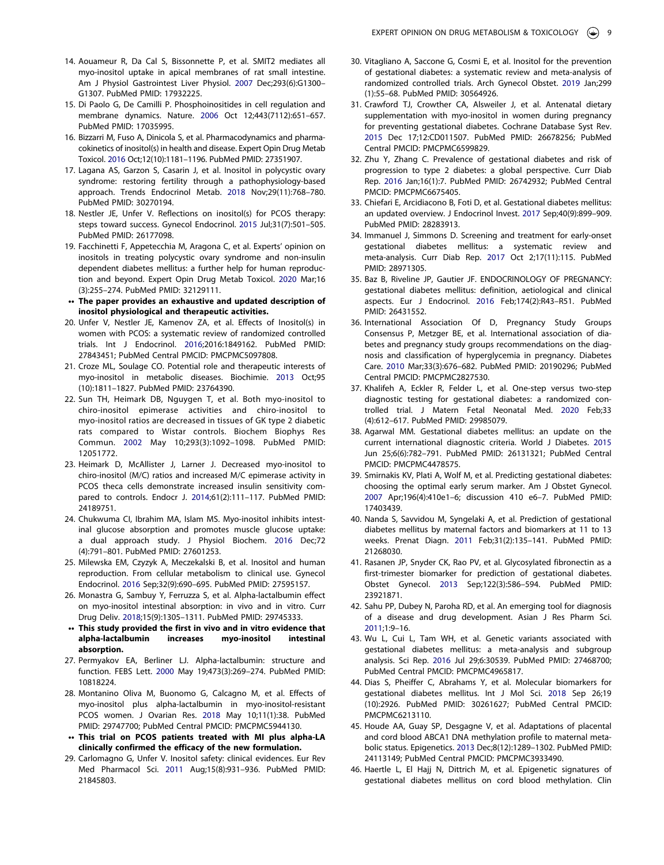- <span id="page-9-0"></span>14. Aouameur R, Da Cal S, Bissonnette P, et al. SMIT2 mediates all myo-inositol uptake in apical membranes of rat small intestine. Am J Physiol Gastrointest Liver Physiol. [2007](#page-2-11) Dec;293(6):G1300– G1307. PubMed PMID: 17932225.
- <span id="page-9-1"></span>15. Di Paolo G, De Camilli P. Phosphoinositides in cell regulation and membrane dynamics. Nature. [2006](#page-2-12) Oct 12;443(7112):651–657. PubMed PMID: 17035995.
- <span id="page-9-2"></span>16. Bizzarri M, Fuso A, Dinicola S, et al. Pharmacodynamics and pharmacokinetics of inositol(s) in health and disease. Expert Opin Drug Metab Toxicol. [2016](#page-2-13) Oct;12(10):1181–1196. PubMed PMID: 27351907.
- 17. Lagana AS, Garzon S, Casarin J, et al. Inositol in polycystic ovary syndrome: restoring fertility through a pathophysiology-based approach. Trends Endocrinol Metab. 2018 Nov;29(11):768–780. PubMed PMID: 30270194.
- <span id="page-9-3"></span>18. Nestler JE, Unfer V. Reflections on inositol(s) for PCOS therapy: steps toward success. Gynecol Endocrinol. [2015](#page-2-14) Jul;31(7):501–505. PubMed PMID: 26177098.
- <span id="page-9-6"></span>19. Facchinetti F, Appetecchia M, Aragona C, et al. Experts' opinion on inositols in treating polycystic ovary syndrome and non-insulin dependent diabetes mellitus: a further help for human reproduction and beyond. Expert Opin Drug Metab Toxicol. [2020](#page-2-15) Mar;16 (3):255–274. PubMed PMID: 32129111.
- **•• The paper provides an exhaustive and updated description of inositol physiological and therapeutic activities.**
- <span id="page-9-4"></span>20. Unfer V, Nestler JE, Kamenov ZA, et al. Effects of Inositol(s) in women with PCOS: a systematic review of randomized controlled trials. Int J Endocrinol. [2016;](#page-2-14)2016:1849162. PubMed PMID: 27843451; PubMed Central PMCID: PMCPMC5097808.
- <span id="page-9-5"></span>21. Croze ML, Soulage CO. Potential role and therapeutic interests of myo-inositol in metabolic diseases. Biochimie. [2013](#page-2-16) Oct;95 (10):1811–1827. PubMed PMID: 23764390.
- <span id="page-9-7"></span>22. Sun TH, Heimark DB, Nguygen T, et al. Both myo-inositol to chiro-inositol epimerase activities and chiro-inositol to myo-inositol ratios are decreased in tissues of GK type 2 diabetic rats compared to Wistar controls. Biochem Biophys Res Commun. [2002](#page-2-15) May 10;293(3):1092–1098. PubMed PMID: 12051772.
- <span id="page-9-8"></span>23. Heimark D, McAllister J, Larner J. Decreased myo-inositol to chiro-inositol (M/C) ratios and increased M/C epimerase activity in PCOS theca cells demonstrate increased insulin sensitivity com-pared to controls. Endocr J. [2014](#page-2-15);61(2):111-117. PubMed PMID: 24189751.
- <span id="page-9-9"></span>24. Chukwuma CI, Ibrahim MA, Islam MS. Myo-inositol inhibits intestinal glucose absorption and promotes muscle glucose uptake: a dual approach study. J Physiol Biochem. [2016](#page-3-0) Dec;72 (4):791–801. PubMed PMID: 27601253.
- <span id="page-9-10"></span>25. Milewska EM, Czyzyk A, Meczekalski B, et al. Inositol and human reproduction. From cellular metabolism to clinical use. Gynecol Endocrinol. [2016](#page-3-1) Sep;32(9):690–695. PubMed PMID: 27595157.
- <span id="page-9-11"></span>26. Monastra G, Sambuy Y, Ferruzza S, et al. Alpha-lactalbumin effect on myo-inositol intestinal absorption: in vivo and in vitro. Curr Drug Deliv. [2018](#page-3-2);15(9):1305–1311. PubMed PMID: 29745333.
- **•• This study provided the first in vivo and in vitro evidence that alpha-lactalbumin increases myo-inositol intestinal absorption.**
- <span id="page-9-12"></span>27. Permyakov EA, Berliner LJ. Alpha-lactalbumin: structure and function. FEBS Lett. [2000](#page-3-3) May 19;473(3):269–274. PubMed PMID: 10818224.
- <span id="page-9-13"></span>28. Montanino Oliva M, Buonomo G, Calcagno M, et al. Effects of myo-inositol plus alpha-lactalbumin in myo-inositol-resistant PCOS women. J Ovarian Res. [2018](#page-3-4) May 10;11(1):38. PubMed PMID: 29747700; PubMed Central PMCID: PMCPMC5944130.
- **•• This trial on PCOS patients treated with MI plus alpha-LA clinically confirmed the efficacy of the new formulation.**
- <span id="page-9-14"></span>29. Carlomagno G, Unfer V. Inositol safety: clinical evidences. Eur Rev Med Pharmacol Sci. [2011](#page-3-5) Aug;15(8):931–936. PubMed PMID: 21845803.
- <span id="page-9-15"></span>30. Vitagliano A, Saccone G, Cosmi E, et al. Inositol for the prevention of gestational diabetes: a systematic review and meta-analysis of randomized controlled trials. Arch Gynecol Obstet. [2019](#page-3-6) Jan;299 (1):55–68. PubMed PMID: 30564926.
- <span id="page-9-16"></span>31. Crawford TJ, Crowther CA, Alsweiler J, et al. Antenatal dietary supplementation with myo-inositol in women during pregnancy for preventing gestational diabetes. Cochrane Database Syst Rev. [2015](#page-3-7) Dec 17;12:CD011507. PubMed PMID: 26678256; PubMed Central PMCID: PMCPMC6599829.
- <span id="page-9-17"></span>32. Zhu Y, Zhang C. Prevalence of gestational diabetes and risk of progression to type 2 diabetes: a global perspective. Curr Diab Rep. [2016](#page-3-8) Jan;16(1):7. PubMed PMID: 26742932; PubMed Central PMCID: PMCPMC6675405.
- <span id="page-9-18"></span>33. Chiefari E, Arcidiacono B, Foti D, et al. Gestational diabetes mellitus: an updated overview. J Endocrinol Invest. [2017](#page-3-9) Sep;40(9):899–909. PubMed PMID: 28283913.
- <span id="page-9-19"></span>34. Immanuel J, Simmons D. Screening and treatment for early-onset gestational diabetes mellitus: a systematic review and meta-analysis. Curr Diab Rep. [2017](#page-3-10) Oct 2;17(11):115. PubMed PMID: 28971305.
- <span id="page-9-20"></span>35. Baz B, Riveline JP, Gautier JF. ENDOCRINOLOGY OF PREGNANCY: gestational diabetes mellitus: definition, aetiological and clinical aspects. Eur J Endocrinol. [2016](#page-3-11) Feb;174(2):R43–R51. PubMed PMID: 26431552.
- <span id="page-9-21"></span>36. International Association Of D, Pregnancy Study Groups Consensus P, Metzger BE, et al. International association of diabetes and pregnancy study groups recommendations on the diagnosis and classification of hyperglycemia in pregnancy. Diabetes Care. [2010](#page-3-12) Mar;33(3):676–682. PubMed PMID: 20190296; PubMed Central PMCID: PMCPMC2827530.
- <span id="page-9-22"></span>37. Khalifeh A, Eckler R, Felder L, et al. One-step versus two-step diagnostic testing for gestational diabetes: a randomized controlled trial. J Matern Fetal Neonatal Med. [2020](#page-3-13) Feb;33 (4):612–617. PubMed PMID: 29985079.
- <span id="page-9-23"></span>38. Agarwal MM. Gestational diabetes mellitus: an update on the current international diagnostic criteria. World J Diabetes. [2015](#page-3-14) Jun 25;6(6):782–791. PubMed PMID: 26131321; PubMed Central PMCID: PMCPMC4478575.
- <span id="page-9-24"></span>39. Smirnakis KV, Plati A, Wolf M, et al. Predicting gestational diabetes: choosing the optimal early serum marker. Am J Obstet Gynecol. [2007](#page-3-15) Apr;196(4):410e1–6; discussion 410 e6–7. PubMed PMID: 17403439.
- 40. Nanda S, Savvidou M, Syngelaki A, et al. Prediction of gestational diabetes mellitus by maternal factors and biomarkers at 11 to 13 weeks. Prenat Diagn. 2011 Feb;31(2):135–141. PubMed PMID: 21268030.
- 41. Rasanen JP, Snyder CK, Rao PV, et al. Glycosylated fibronectin as a first-trimester biomarker for prediction of gestational diabetes. Obstet Gynecol. 2013 Sep;122(3):586–594. PubMed PMID: 23921871.
- <span id="page-9-25"></span>42. Sahu PP, Dubey N, Paroha RD, et al. An emerging tool for diagnosis of a disease and drug development. Asian J Res Pharm Sci. [2011](#page-3-16);1:9–16.
- <span id="page-9-26"></span>43. Wu L, Cui L, Tam WH, et al. Genetic variants associated with gestational diabetes mellitus: a meta-analysis and subgroup analysis. Sci Rep. [2016](#page-3-17) Jul 29;6:30539. PubMed PMID: 27468700; PubMed Central PMCID: PMCPMC4965817.
- <span id="page-9-27"></span>44. Dias S, Pheiffer C, Abrahams Y, et al. Molecular biomarkers for gestational diabetes mellitus. Int J Mol Sci. [2018](#page-3-18) Sep 26;19 (10):2926. PubMed PMID: 30261627; PubMed Central PMCID: PMCPMC6213110.
- <span id="page-9-28"></span>45. Houde AA, Guay SP, Desgagne V, et al. Adaptations of placental and cord blood ABCA1 DNA methylation profile to maternal metabolic status. Epigenetics. [2013](#page-3-19) Dec;8(12):1289–1302. PubMed PMID: 24113149; PubMed Central PMCID: PMCPMC3933490.
- <span id="page-9-29"></span>46. Haertle L, El Hajj N, Dittrich M, et al. Epigenetic signatures of gestational diabetes mellitus on cord blood methylation. Clin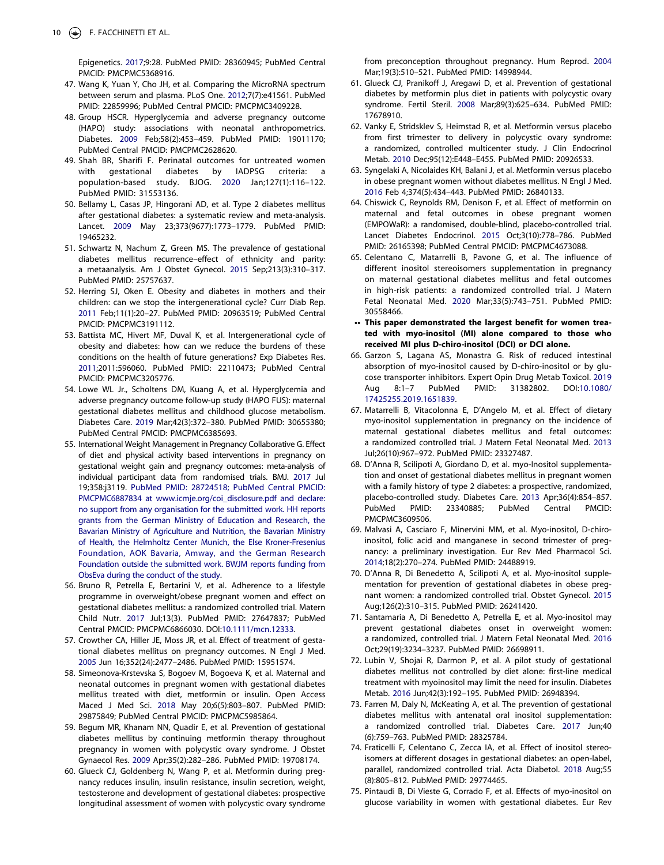Epigenetics. [2017;](#page-3-20)9:28. PubMed PMID: 28360945; PubMed Central PMCID: PMCPMC5368916.

- <span id="page-10-0"></span>47. Wang K, Yuan Y, Cho JH, et al. Comparing the MicroRNA spectrum between serum and plasma. PLoS One. [2012;](#page-3-21)7(7):e41561. PubMed PMID: 22859996; PubMed Central PMCID: PMCPMC3409228.
- <span id="page-10-1"></span>48. Group HSCR. Hyperglycemia and adverse pregnancy outcome (HAPO) study: associations with neonatal anthropometrics. Diabetes. [2009](#page-4-0) Feb;58(2):453–459. PubMed PMID: 19011170; PubMed Central PMCID: PMCPMC2628620.
- <span id="page-10-2"></span>49. Shah BR, Sharifi F. Perinatal outcomes for untreated women with gestational diabetes by IADPSG criteria: a population-based study. BJOG. [2020](#page-4-1) Jan;127(1):116–122. PubMed PMID: 31553136.
- <span id="page-10-3"></span>50. Bellamy L, Casas JP, Hingorani AD, et al. Type 2 diabetes mellitus after gestational diabetes: a systematic review and meta-analysis. Lancet. [2009](#page-4-2) May 23;373(9677):1773–1779. PubMed PMID: 19465232.
- <span id="page-10-4"></span>51. Schwartz N, Nachum Z, Green MS. The prevalence of gestational diabetes mellitus recurrence–effect of ethnicity and parity: a metaanalysis. Am J Obstet Gynecol. [2015](#page-4-2) Sep;213(3):310–317. PubMed PMID: 25757637.
- <span id="page-10-5"></span>52. Herring SJ, Oken E. Obesity and diabetes in mothers and their children: can we stop the intergenerational cycle? Curr Diab Rep. [2011](#page-4-3) Feb;11(1):20–27. PubMed PMID: 20963519; PubMed Central PMCID: PMCPMC3191112.
- <span id="page-10-6"></span>53. Battista MC, Hivert MF, Duval K, et al. Intergenerational cycle of obesity and diabetes: how can we reduce the burdens of these conditions on the health of future generations? Exp Diabetes Res. [2011](#page-4-3);2011:596060. PubMed PMID: 22110473; PubMed Central PMCID: PMCPMC3205776.
- <span id="page-10-7"></span>54. Lowe WL Jr., Scholtens DM, Kuang A, et al. Hyperglycemia and adverse pregnancy outcome follow-up study (HAPO FUS): maternal gestational diabetes mellitus and childhood glucose metabolism. Diabetes Care. [2019](#page-4-4) Mar;42(3):372–380. PubMed PMID: 30655380; PubMed Central PMCID: PMCPMC6385693.
- <span id="page-10-8"></span>55. International Weight Management in Pregnancy Collaborative G. Effect of diet and physical activity based interventions in pregnancy on gestational weight gain and pregnancy outcomes: meta-analysis of individual participant data from randomised trials. BMJ. [2017](#page-4-5) Jul 19;358:j3119. [PubMed PMID: 28724518; PubMed Central PMCID:](http://PubMed%A0PMID:%A028724518;%A0PubMed%A0Central%A0PMCID:%A0PMCPMC6887834%A0at%A0www.icmje.org/coi_disclosure.pdf%A0and%A0declare:%A0no%A0support%A0from%A0any%A0organisation%A0for%A0the%A0submitted%A0work.%A0HH%A0reports%A0grants%A0from%A0the%A0German%A0Ministry%A0of%A0Education%A0and%A0Research,%A0the%A0Bavarian%A0Ministry%A0of%A0Agriculture%A0and%A0Nutrition,%A0the%A0Bavarian%A0Ministry%A0of%A0Health,%A0the%A0Helmholtz%A0Center%A0Munich,%A0the%A0Else%A0Kroner-Fresenius%A0Foundation,%A0AOK%A0Bavaria,%A0Amway,%A0and%A0the%A0German%A0Research%A0Foundation%A0outside%A0the%A0submitted%A0work.%A0BWJM%A0reports%A0funding%A0from%A0ObsEva%A0during%A0the%A0conduct%A0of%A0the%A0study)  PMCPMC6887834 at www.icmje.org/coi\_disclosure.pdf and declare: [no support from any organisation for the submitted work. HH reports](http://PubMed%A0PMID:%A028724518;%A0PubMed%A0Central%A0PMCID:%A0PMCPMC6887834%A0at%A0www.icmje.org/coi_disclosure.pdf%A0and%A0declare:%A0no%A0support%A0from%A0any%A0organisation%A0for%A0the%A0submitted%A0work.%A0HH%A0reports%A0grants%A0from%A0the%A0German%A0Ministry%A0of%A0Education%A0and%A0Research,%A0the%A0Bavarian%A0Ministry%A0of%A0Agriculture%A0and%A0Nutrition,%A0the%A0Bavarian%A0Ministry%A0of%A0Health,%A0the%A0Helmholtz%A0Center%A0Munich,%A0the%A0Else%A0Kroner-Fresenius%A0Foundation,%A0AOK%A0Bavaria,%A0Amway,%A0and%A0the%A0German%A0Research%A0Foundation%A0outside%A0the%A0submitted%A0work.%A0BWJM%A0reports%A0funding%A0from%A0ObsEva%A0during%A0the%A0conduct%A0of%A0the%A0study)  [grants from the German Ministry of Education and Research, the](http://PubMed%A0PMID:%A028724518;%A0PubMed%A0Central%A0PMCID:%A0PMCPMC6887834%A0at%A0www.icmje.org/coi_disclosure.pdf%A0and%A0declare:%A0no%A0support%A0from%A0any%A0organisation%A0for%A0the%A0submitted%A0work.%A0HH%A0reports%A0grants%A0from%A0the%A0German%A0Ministry%A0of%A0Education%A0and%A0Research,%A0the%A0Bavarian%A0Ministry%A0of%A0Agriculture%A0and%A0Nutrition,%A0the%A0Bavarian%A0Ministry%A0of%A0Health,%A0the%A0Helmholtz%A0Center%A0Munich,%A0the%A0Else%A0Kroner-Fresenius%A0Foundation,%A0AOK%A0Bavaria,%A0Amway,%A0and%A0the%A0German%A0Research%A0Foundation%A0outside%A0the%A0submitted%A0work.%A0BWJM%A0reports%A0funding%A0from%A0ObsEva%A0during%A0the%A0conduct%A0of%A0the%A0study)  [Bavarian Ministry of Agriculture and Nutrition, the Bavarian Ministry](http://PubMed%A0PMID:%A028724518;%A0PubMed%A0Central%A0PMCID:%A0PMCPMC6887834%A0at%A0www.icmje.org/coi_disclosure.pdf%A0and%A0declare:%A0no%A0support%A0from%A0any%A0organisation%A0for%A0the%A0submitted%A0work.%A0HH%A0reports%A0grants%A0from%A0the%A0German%A0Ministry%A0of%A0Education%A0and%A0Research,%A0the%A0Bavarian%A0Ministry%A0of%A0Agriculture%A0and%A0Nutrition,%A0the%A0Bavarian%A0Ministry%A0of%A0Health,%A0the%A0Helmholtz%A0Center%A0Munich,%A0the%A0Else%A0Kroner-Fresenius%A0Foundation,%A0AOK%A0Bavaria,%A0Amway,%A0and%A0the%A0German%A0Research%A0Foundation%A0outside%A0the%A0submitted%A0work.%A0BWJM%A0reports%A0funding%A0from%A0ObsEva%A0during%A0the%A0conduct%A0of%A0the%A0study)  [of Health, the Helmholtz Center Munich, the Else Kroner-Fresenius](http://PubMed%A0PMID:%A028724518;%A0PubMed%A0Central%A0PMCID:%A0PMCPMC6887834%A0at%A0www.icmje.org/coi_disclosure.pdf%A0and%A0declare:%A0no%A0support%A0from%A0any%A0organisation%A0for%A0the%A0submitted%A0work.%A0HH%A0reports%A0grants%A0from%A0the%A0German%A0Ministry%A0of%A0Education%A0and%A0Research,%A0the%A0Bavarian%A0Ministry%A0of%A0Agriculture%A0and%A0Nutrition,%A0the%A0Bavarian%A0Ministry%A0of%A0Health,%A0the%A0Helmholtz%A0Center%A0Munich,%A0the%A0Else%A0Kroner-Fresenius%A0Foundation,%A0AOK%A0Bavaria,%A0Amway,%A0and%A0the%A0German%A0Research%A0Foundation%A0outside%A0the%A0submitted%A0work.%A0BWJM%A0reports%A0funding%A0from%A0ObsEva%A0during%A0the%A0conduct%A0of%A0the%A0study)  [Foundation, AOK Bavaria, Amway, and the German Research](http://PubMed%A0PMID:%A028724518;%A0PubMed%A0Central%A0PMCID:%A0PMCPMC6887834%A0at%A0www.icmje.org/coi_disclosure.pdf%A0and%A0declare:%A0no%A0support%A0from%A0any%A0organisation%A0for%A0the%A0submitted%A0work.%A0HH%A0reports%A0grants%A0from%A0the%A0German%A0Ministry%A0of%A0Education%A0and%A0Research,%A0the%A0Bavarian%A0Ministry%A0of%A0Agriculture%A0and%A0Nutrition,%A0the%A0Bavarian%A0Ministry%A0of%A0Health,%A0the%A0Helmholtz%A0Center%A0Munich,%A0the%A0Else%A0Kroner-Fresenius%A0Foundation,%A0AOK%A0Bavaria,%A0Amway,%A0and%A0the%A0German%A0Research%A0Foundation%A0outside%A0the%A0submitted%A0work.%A0BWJM%A0reports%A0funding%A0from%A0ObsEva%A0during%A0the%A0conduct%A0of%A0the%A0study)  [Foundation outside the submitted work. BWJM reports funding from](http://PubMed%A0PMID:%A028724518;%A0PubMed%A0Central%A0PMCID:%A0PMCPMC6887834%A0at%A0www.icmje.org/coi_disclosure.pdf%A0and%A0declare:%A0no%A0support%A0from%A0any%A0organisation%A0for%A0the%A0submitted%A0work.%A0HH%A0reports%A0grants%A0from%A0the%A0German%A0Ministry%A0of%A0Education%A0and%A0Research,%A0the%A0Bavarian%A0Ministry%A0of%A0Agriculture%A0and%A0Nutrition,%A0the%A0Bavarian%A0Ministry%A0of%A0Health,%A0the%A0Helmholtz%A0Center%A0Munich,%A0the%A0Else%A0Kroner-Fresenius%A0Foundation,%A0AOK%A0Bavaria,%A0Amway,%A0and%A0the%A0German%A0Research%A0Foundation%A0outside%A0the%A0submitted%A0work.%A0BWJM%A0reports%A0funding%A0from%A0ObsEva%A0during%A0the%A0conduct%A0of%A0the%A0study)  [ObsEva during the conduct of the study](http://PubMed%A0PMID:%A028724518;%A0PubMed%A0Central%A0PMCID:%A0PMCPMC6887834%A0at%A0www.icmje.org/coi_disclosure.pdf%A0and%A0declare:%A0no%A0support%A0from%A0any%A0organisation%A0for%A0the%A0submitted%A0work.%A0HH%A0reports%A0grants%A0from%A0the%A0German%A0Ministry%A0of%A0Education%A0and%A0Research,%A0the%A0Bavarian%A0Ministry%A0of%A0Agriculture%A0and%A0Nutrition,%A0the%A0Bavarian%A0Ministry%A0of%A0Health,%A0the%A0Helmholtz%A0Center%A0Munich,%A0the%A0Else%A0Kroner-Fresenius%A0Foundation,%A0AOK%A0Bavaria,%A0Amway,%A0and%A0the%A0German%A0Research%A0Foundation%A0outside%A0the%A0submitted%A0work.%A0BWJM%A0reports%A0funding%A0from%A0ObsEva%A0during%A0the%A0conduct%A0of%A0the%A0study).
- <span id="page-10-9"></span>56. Bruno R, Petrella E, Bertarini V, et al. Adherence to a lifestyle programme in overweight/obese pregnant women and effect on gestational diabetes mellitus: a randomized controlled trial. Matern Child Nutr. [2017](#page-4-6) Jul;13(3). PubMed PMID: 27647837; PubMed Central PMCID: PMCPMC6866030. DOI:[10.1111/mcn.12333.](https://doi.org/10.1111/mcn.12333)
- <span id="page-10-10"></span>57. Crowther CA, Hiller JE, Moss JR, et al. Effect of treatment of gestational diabetes mellitus on pregnancy outcomes. N Engl J Med. [2005](#page-4-7) Jun 16;352(24):2477–2486. PubMed PMID: 15951574.
- <span id="page-10-11"></span>58. Simeonova-Krstevska S, Bogoev M, Bogoeva K, et al. Maternal and neonatal outcomes in pregnant women with gestational diabetes mellitus treated with diet, metformin or insulin. Open Access Maced J Med Sci. [2018](#page-4-8) May 20;6(5):803–807. PubMed PMID: 29875849; PubMed Central PMCID: PMCPMC5985864.
- <span id="page-10-12"></span>59. Begum MR, Khanam NN, Quadir E, et al. Prevention of gestational diabetes mellitus by continuing metformin therapy throughout pregnancy in women with polycystic ovary syndrome. J Obstet Gynaecol Res. [2009](#page-4-9) Apr;35(2):282–286. PubMed PMID: 19708174.
- 60. Glueck CJ, Goldenberg N, Wang P, et al. Metformin during pregnancy reduces insulin, insulin resistance, insulin secretion, weight, testosterone and development of gestational diabetes: prospective longitudinal assessment of women with polycystic ovary syndrome

from preconception throughout pregnancy. Hum Reprod. 2004 Mar;19(3):510–521. PubMed PMID: 14998944.

- 61. Glueck CJ, Pranikoff J, Aregawi D, et al. Prevention of gestational diabetes by metformin plus diet in patients with polycystic ovary syndrome. Fertil Steril. 2008 Mar;89(3):625–634. PubMed PMID: 17678910.
- <span id="page-10-13"></span>62. Vanky E, Stridsklev S, Heimstad R, et al. Metformin versus placebo from first trimester to delivery in polycystic ovary syndrome: a randomized, controlled multicenter study. J Clin Endocrinol Metab. [2010](#page-4-10) Dec;95(12):E448–E455. PubMed PMID: 20926533.
- <span id="page-10-14"></span>63. Syngelaki A, Nicolaides KH, Balani J, et al. Metformin versus placebo in obese pregnant women without diabetes mellitus. N Engl J Med. [2016](#page-4-11) Feb 4;374(5):434–443. PubMed PMID: 26840133.
- <span id="page-10-15"></span>64. Chiswick C, Reynolds RM, Denison F, et al. Effect of metformin on maternal and fetal outcomes in obese pregnant women (EMPOWaR): a randomised, double-blind, placebo-controlled trial. Lancet Diabetes Endocrinol. [2015](#page-4-12) Oct;3(10):778–786. PubMed PMID: 26165398; PubMed Central PMCID: PMCPMC4673088.
- <span id="page-10-16"></span>65. Celentano C, Matarrelli B, Pavone G, et al. The influence of different inositol stereoisomers supplementation in pregnancy on maternal gestational diabetes mellitus and fetal outcomes in high-risk patients: a randomized controlled trial. J Matern Fetal Neonatal Med. [2020](#page-4-13) Mar;33(5):743–751. PubMed PMID: 30558466.
- **•• This paper demonstrated the largest benefit for women treated with myo-inositol (MI) alone compared to those who received MI plus D-chiro-inositol (DCI) or DCI alone.**
- <span id="page-10-17"></span>66. Garzon S, Lagana AS, Monastra G. Risk of reduced intestinal absorption of myo-inositol caused by D-chiro-inositol or by glucose transporter inhibitors. Expert Opin Drug Metab Toxicol. [2019](#page-4-14)  Aug 8:1–7 PubMed PMID: 31382802. DOI:[10.1080/](https://doi.org/10.1080/17425255.2019.1651839)  [17425255.2019.1651839.](https://doi.org/10.1080/17425255.2019.1651839)
- <span id="page-10-18"></span>67. Matarrelli B, Vitacolonna E, D'Angelo M, et al. Effect of dietary myo-inositol supplementation in pregnancy on the incidence of maternal gestational diabetes mellitus and fetal outcomes: a randomized controlled trial. J Matern Fetal Neonatal Med. [2013](#page-5-1) Jul;26(10):967–972. PubMed PMID: 23327487.
- <span id="page-10-19"></span>68. D'Anna R, Scilipoti A, Giordano D, et al. myo-Inositol supplementation and onset of gestational diabetes mellitus in pregnant women with a family history of type 2 diabetes: a prospective, randomized, placebo-controlled study. Diabetes Care. [2013](#page-5-2) Apr;36(4):854–857.<br>PubMed PMID: 23340885; PubMed Central PMCID: PubMed PMID: 23340885; PubMed Central PMCID: PMCPMC3609506.
- <span id="page-10-20"></span>69. Malvasi A, Casciaro F, Minervini MM, et al. Myo-inositol, D-chiroinositol, folic acid and manganese in second trimester of pregnancy: a preliminary investigation. Eur Rev Med Pharmacol Sci. [2014](#page-5-3);18(2):270–274. PubMed PMID: 24488919.
- <span id="page-10-21"></span>70. D'Anna R, Di Benedetto A, Scilipoti A, et al. Myo-inositol supplementation for prevention of gestational diabetes in obese pregnant women: a randomized controlled trial. Obstet Gynecol. [2015](#page-5-4) Aug;126(2):310–315. PubMed PMID: 26241420.
- <span id="page-10-22"></span>71. Santamaria A, Di Benedetto A, Petrella E, et al. Myo-inositol may prevent gestational diabetes onset in overweight women: a randomized, controlled trial. J Matern Fetal Neonatal Med. [2016](#page-5-5) Oct;29(19):3234–3237. PubMed PMID: 26698911.
- <span id="page-10-23"></span>72. Lubin V, Shojai R, Darmon P, et al. A pilot study of gestational diabetes mellitus not controlled by diet alone: first-line medical treatment with myoinositol may limit the need for insulin. Diabetes Metab. [2016](#page-5-6) Jun;42(3):192–195. PubMed PMID: 26948394.
- <span id="page-10-24"></span>73. Farren M, Daly N, McKeating A, et al. The prevention of gestational diabetes mellitus with antenatal oral inositol supplementation: a randomized controlled trial. Diabetes Care. [2017](#page-5-7) Jun;40 (6):759–763. PubMed PMID: 28325784.
- <span id="page-10-25"></span>74. Fraticelli F, Celentano C, Zecca IA, et al. Effect of inositol stereoisomers at different dosages in gestational diabetes: an open-label, parallel, randomized controlled trial. Acta Diabetol. [2018](#page-5-8) Aug;55 (8):805–812. PubMed PMID: 29774465.
- <span id="page-10-26"></span>75. Pintaudi B, Di Vieste G, Corrado F, et al. Effects of myo-inositol on glucose variability in women with gestational diabetes. Eur Rev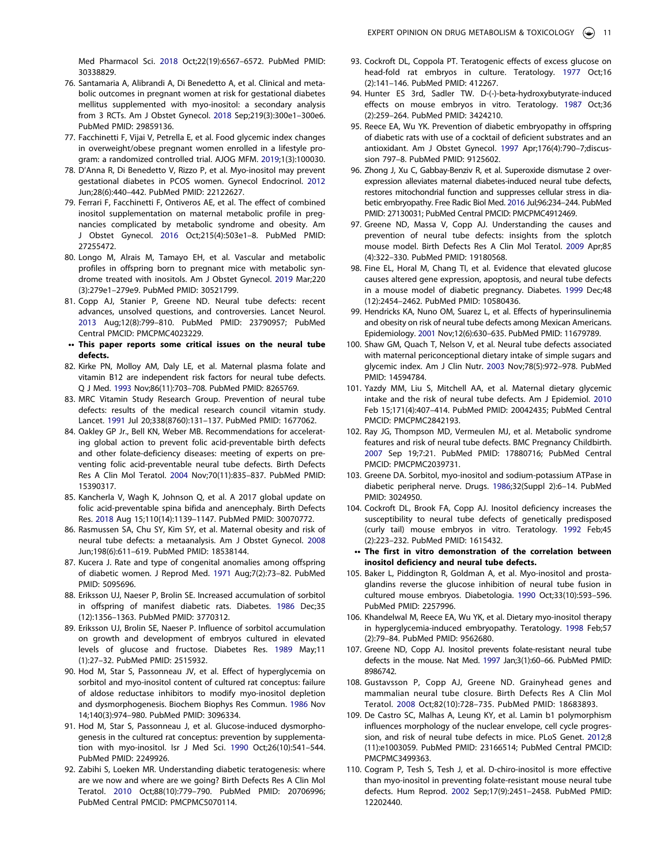Med Pharmacol Sci. [2018](#page-5-9) Oct;22(19):6567–6572. PubMed PMID: 30338829.

- <span id="page-11-0"></span>76. Santamaria A, Alibrandi A, Di Benedetto A, et al. Clinical and metabolic outcomes in pregnant women at risk for gestational diabetes mellitus supplemented with myo-inositol: a secondary analysis from 3 RCTs. Am J Obstet Gynecol. [2018](#page-4-15) Sep;219(3):300e1–300e6. PubMed PMID: 29859136.
- <span id="page-11-1"></span>77. Facchinetti F, Vijai V, Petrella E, et al. Food glycemic index changes in overweight/obese pregnant women enrolled in a lifestyle program: a randomized controlled trial. AJOG MFM. [2019](#page-4-16);1(3):100030.
- <span id="page-11-2"></span>78. D'Anna R, Di Benedetto V, Rizzo P, et al. Myo-inositol may prevent gestational diabetes in PCOS women. Gynecol Endocrinol. [2012](#page-5-10)  Jun;28(6):440–442. PubMed PMID: 22122627.
- <span id="page-11-3"></span>79. Ferrari F, Facchinetti F, Ontiveros AE, et al. The effect of combined inositol supplementation on maternal metabolic profile in pregnancies complicated by metabolic syndrome and obesity. Am J Obstet Gynecol. [2016](#page-5-11) Oct;215(4):503e1–8. PubMed PMID: 27255472.
- <span id="page-11-4"></span>80. Longo M, Alrais M, Tamayo EH, et al. Vascular and metabolic profiles in offspring born to pregnant mice with metabolic syndrome treated with inositols. Am J Obstet Gynecol. [2019](#page-5-12) Mar;220 (3):279e1–279e9. PubMed PMID: 30521799.
- <span id="page-11-5"></span>81. Copp AJ, Stanier P, Greene ND. Neural tube defects: recent advances, unsolved questions, and controversies. Lancet Neurol. [2013](#page-5-13) Aug;12(8):799–810. PubMed PMID: 23790957; PubMed Central PMCID: PMCPMC4023229.
- **•• This paper reports some critical issues on the neural tube defects.**
- <span id="page-11-6"></span>82. Kirke PN, Molloy AM, Daly LE, et al. Maternal plasma folate and vitamin B12 are independent risk factors for neural tube defects. Q J Med. [1993](#page-5-14) Nov;86(11):703–708. PubMed PMID: 8265769.
- <span id="page-11-7"></span>83. MRC Vitamin Study Research Group. Prevention of neural tube defects: results of the medical research council vitamin study. Lancet. [1991](#page-5-15) Jul 20;338(8760):131–137. PubMed PMID: 1677062.
- <span id="page-11-8"></span>84. Oakley GP Jr., Bell KN, Weber MB. Recommendations for accelerating global action to prevent folic acid-preventable birth defects and other folate-deficiency diseases: meeting of experts on preventing folic acid-preventable neural tube defects. Birth Defects Res A Clin Mol Teratol. [2004](#page-5-16) Nov;70(11):835–837. PubMed PMID: 15390317.
- <span id="page-11-9"></span>85. Kancherla V, Wagh K, Johnson Q, et al. A 2017 global update on folic acid-preventable spina bifida and anencephaly. Birth Defects Res. [2018](#page-5-17) Aug 15;110(14):1139–1147. PubMed PMID: 30070772.
- <span id="page-11-10"></span>86. Rasmussen SA, Chu SY, Kim SY, et al. Maternal obesity and risk of neural tube defects: a metaanalysis. Am J Obstet Gynecol. [2008](#page-5-18)  Jun;198(6):611–619. PubMed PMID: 18538144.
- <span id="page-11-11"></span>87. Kucera J. Rate and type of congenital anomalies among offspring of diabetic women. J Reprod Med. [1971](#page-5-18) Aug;7(2):73–82. PubMed PMID: 5095696.
- <span id="page-11-12"></span>88. Eriksson UJ, Naeser P, Brolin SE. Increased accumulation of sorbitol in offspring of manifest diabetic rats. Diabetes. [1986](#page-6-0) Dec;35 (12):1356–1363. PubMed PMID: 3770312.
- 89. Eriksson UJ, Brolin SE, Naeser P. Influence of sorbitol accumulation on growth and development of embryos cultured in elevated levels of glucose and fructose. Diabetes Res. 1989 May;11 (1):27–32. PubMed PMID: 2515932.
- <span id="page-11-24"></span>90. Hod M, Star S, Passonneau JV, et al. Effect of hyperglycemia on sorbitol and myo-inositol content of cultured rat conceptus: failure of aldose reductase inhibitors to modify myo-inositol depletion and dysmorphogenesis. Biochem Biophys Res Commun. [1986](#page-6-1) Nov 14;140(3):974–980. PubMed PMID: 3096334.
- <span id="page-11-13"></span>91. Hod M, Star S, Passonneau J, et al. Glucose-induced dysmorphogenesis in the cultured rat conceptus: prevention by supplementation with myo-inositol. Isr J Med Sci. [1990](#page-6-2) Oct;26(10):541–544. PubMed PMID: 2249926.
- <span id="page-11-14"></span>92. Zabihi S, Loeken MR. Understanding diabetic teratogenesis: where are we now and where are we going? Birth Defects Res A Clin Mol Teratol. [2010](#page-6-2) Oct;88(10):779–790. PubMed PMID: 20706996; PubMed Central PMCID: PMCPMC5070114.
- <span id="page-11-15"></span>93. Cockroft DL, Coppola PT. Teratogenic effects of excess glucose on head-fold rat embryos in culture. Teratology. [1977](#page-6-3) Oct;16 (2):141–146. PubMed PMID: 412267.
- <span id="page-11-16"></span>94. Hunter ES 3rd, Sadler TW. D-(-)-beta-hydroxybutyrate-induced effects on mouse embryos in vitro. Teratology. [1987](#page-6-4) Oct;36 (2):259–264. PubMed PMID: 3424210.
- <span id="page-11-17"></span>95. Reece EA, Wu YK. Prevention of diabetic embryopathy in offspring of diabetic rats with use of a cocktail of deficient substrates and an antioxidant. Am J Obstet Gynecol. [1997](#page-6-5) Apr;176(4):790–7;discussion 797–8. PubMed PMID: 9125602.
- <span id="page-11-18"></span>96. Zhong J, Xu C, Gabbay-Benziv R, et al. Superoxide dismutase 2 overexpression alleviates maternal diabetes-induced neural tube defects, restores mitochondrial function and suppresses cellular stress in diabetic embryopathy. Free Radic Biol Med. [2016](#page-6-5) Jul;96:234–244. PubMed PMID: 27130031; PubMed Central PMCID: PMCPMC4912469.
- <span id="page-11-19"></span>97. Greene ND, Massa V, Copp AJ. Understanding the causes and prevention of neural tube defects: insights from the splotch mouse model. Birth Defects Res A Clin Mol Teratol. [2009](#page-6-6) Apr;85 (4):322–330. PubMed PMID: 19180568.
- <span id="page-11-20"></span>98. Fine EL, Horal M, Chang TI, et al. Evidence that elevated glucose causes altered gene expression, apoptosis, and neural tube defects in a mouse model of diabetic pregnancy. Diabetes. [1999](#page-6-7) Dec;48 (12):2454–2462. PubMed PMID: 10580436.
- <span id="page-11-21"></span>99. Hendricks KA, Nuno OM, Suarez L, et al. Effects of hyperinsulinemia and obesity on risk of neural tube defects among Mexican Americans. Epidemiology. [2001](#page-6-8) Nov;12(6):630–635. PubMed PMID: 11679789.
- <span id="page-11-22"></span>100. Shaw GM, Quach T, Nelson V, et al. Neural tube defects associated with maternal periconceptional dietary intake of simple sugars and glycemic index. Am J Clin Nutr. [2003](#page-6-9) Nov;78(5):972–978. PubMed PMID: 14594784.
- 101. Yazdy MM, Liu S, Mitchell AA, et al. Maternal dietary glycemic intake and the risk of neural tube defects. Am J Epidemiol. 2010 Feb 15;171(4):407–414. PubMed PMID: 20042435; PubMed Central PMCID: PMCPMC2842193.
- 102. Ray JG, Thompson MD, Vermeulen MJ, et al. Metabolic syndrome features and risk of neural tube defects. BMC Pregnancy Childbirth. 2007 Sep 19;7:21. PubMed PMID: 17880716; PubMed Central PMCID: PMCPMC2039731.
- <span id="page-11-23"></span>103. Greene DA. Sorbitol, myo-inositol and sodium-potassium ATPase in diabetic peripheral nerve. Drugs. [1986;](#page-6-10)32(Suppl 2):6–14. PubMed PMID: 3024950.
- <span id="page-11-25"></span>104. Cockroft DL, Brook FA, Copp AJ. Inositol deficiency increases the susceptibility to neural tube defects of genetically predisposed (curly tail) mouse embryos in vitro. Teratology. [1992](#page-6-11) Feb;45 (2):223–232. PubMed PMID: 1615432.
- **•• The first in vitro demonstration of the correlation between inositol deficiency and neural tube defects.**
- <span id="page-11-26"></span>105. Baker L, Piddington R, Goldman A, et al. Myo-inositol and prostaglandins reverse the glucose inhibition of neural tube fusion in cultured mouse embryos. Diabetologia. [1990](#page-6-12) Oct;33(10):593–596. PubMed PMID: 2257996.
- <span id="page-11-27"></span>106. Khandelwal M, Reece EA, Wu YK, et al. Dietary myo-inositol therapy in hyperglycemia-induced embryopathy. Teratology. [1998](#page-6-12) Feb;57 (2):79–84. PubMed PMID: 9562680.
- <span id="page-11-28"></span>107. Greene ND, Copp AJ. Inositol prevents folate-resistant neural tube defects in the mouse. Nat Med. [1997](#page-6-13) Jan;3(1):60–66. PubMed PMID: 8986742.
- <span id="page-11-29"></span>108. Gustavsson P, Copp AJ, Greene ND. Grainyhead genes and mammalian neural tube closure. Birth Defects Res A Clin Mol Teratol. [2008](#page-6-14) Oct;82(10):728–735. PubMed PMID: 18683893.
- <span id="page-11-30"></span>109. De Castro SC, Malhas A, Leung KY, et al. Lamin b1 polymorphism influences morphology of the nuclear envelope, cell cycle progression, and risk of neural tube defects in mice. PLoS Genet. [2012;](#page-6-14)8 (11):e1003059. PubMed PMID: 23166514; PubMed Central PMCID: PMCPMC3499363.
- <span id="page-11-31"></span>110. Cogram P, Tesh S, Tesh J, et al. D-chiro-inositol is more effective than myo-inositol in preventing folate-resistant mouse neural tube defects. Hum Reprod. [2002](#page-6-15) Sep;17(9):2451–2458. PubMed PMID: 12202440.